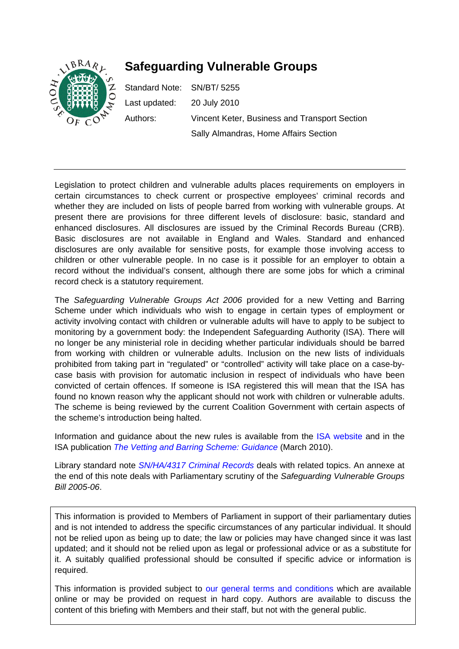

# **Safeguarding Vulnerable Groups**

Standard Note: SN/BT/ 5255 Last updated: 20 July 2010 Authors: Vincent Keter, Business and Transport Section Sally Almandras, Home Affairs Section

Legislation to protect children and vulnerable adults places requirements on employers in certain circumstances to check current or prospective employees' criminal records and whether they are included on lists of people barred from working with vulnerable groups. At present there are provisions for three different levels of disclosure: basic, standard and enhanced disclosures. All disclosures are issued by the Criminal Records Bureau (CRB). Basic disclosures are not available in England and Wales. Standard and enhanced disclosures are only available for sensitive posts, for example those involving access to children or other vulnerable people. In no case is it possible for an employer to obtain a record without the individual's consent, although there are some jobs for which a criminal record check is a statutory requirement.

The *Safeguarding Vulnerable Groups Act 2006* provided for a new Vetting and Barring Scheme under which individuals who wish to engage in certain types of employment or activity involving contact with children or vulnerable adults will have to apply to be subject to monitoring by a government body: the Independent Safeguarding Authority (ISA). There will no longer be any ministerial role in deciding whether particular individuals should be barred from working with children or vulnerable adults. Inclusion on the new lists of individuals prohibited from taking part in "regulated" or "controlled" activity will take place on a case-bycase basis with provision for automatic inclusion in respect of individuals who have been convicted of certain offences. If someone is ISA registered this will mean that the ISA has found no known reason why the applicant should not work with children or vulnerable adults. The scheme is being reviewed by the current Coalition Government with certain aspects of the scheme's introduction being halted.

Information and guidance about the new rules is available from the [ISA website](http://www.isa-gov.org.uk/) and in the ISA publication *[The Vetting and Barring Scheme: Guidance](http://www.isa-gov.org.uk/PDF/VBS_guidance_ed1_2010.pdf)* (March 2010).

Library standard note *[SN/HA/4317 Criminal Records](http://pims.parliament.uk:81/PIMS/Static%20Files/Extended%20File%20Scan%20Files/LIBRARY_OTHER_PAPERS/STANDARD_NOTE/snha-04317.pdf)* deals with related topics. An annexe at the end of this note deals with Parliamentary scrutiny of the *Safeguarding Vulnerable Groups Bill 2005-06*.

This information is provided to Members of Parliament in support of their parliamentary duties and is not intended to address the specific circumstances of any particular individual. It should not be relied upon as being up to date; the law or policies may have changed since it was last updated; and it should not be relied upon as legal or professional advice or as a substitute for it. A suitably qualified professional should be consulted if specific advice or information is required.

This information is provided subject to [our general terms and conditions](http://www.parliament.uk/site_information/parliamentary_copyright.cfm) which are available online or may be provided on request in hard copy. Authors are available to discuss the content of this briefing with Members and their staff, but not with the general public.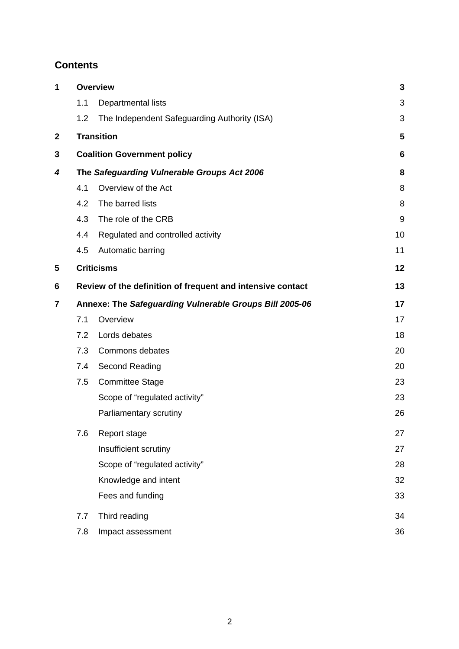# **Contents**

| 1           | <b>Overview</b>                                         |                                                                  | 3  |  |
|-------------|---------------------------------------------------------|------------------------------------------------------------------|----|--|
|             | 1.1                                                     | Departmental lists                                               | 3  |  |
|             | 1.2                                                     | The Independent Safeguarding Authority (ISA)                     | 3  |  |
| $\mathbf 2$ | <b>Transition</b>                                       |                                                                  | 5  |  |
| 3           | <b>Coalition Government policy</b>                      |                                                                  |    |  |
| 4           | The Safeguarding Vulnerable Groups Act 2006             |                                                                  |    |  |
|             | 4.1                                                     | Overview of the Act                                              | 8  |  |
|             | 4.2                                                     | The barred lists                                                 | 8  |  |
|             | 4.3                                                     | The role of the CRB                                              | 9  |  |
|             | 4.4                                                     | Regulated and controlled activity                                | 10 |  |
|             | 4.5                                                     | Automatic barring                                                | 11 |  |
| 5           |                                                         | <b>Criticisms</b>                                                | 12 |  |
| 6           |                                                         | Review of the definition of frequent and intensive contact<br>13 |    |  |
| 7           | Annexe: The Safeguarding Vulnerable Groups Bill 2005-06 |                                                                  |    |  |
|             | 7.1                                                     | Overview                                                         | 17 |  |
|             | 7.2                                                     | Lords debates                                                    | 18 |  |
|             | 7.3                                                     | Commons debates                                                  | 20 |  |
|             | 7.4                                                     | Second Reading                                                   | 20 |  |
|             | 7.5                                                     | <b>Committee Stage</b>                                           | 23 |  |
|             |                                                         | Scope of "regulated activity"                                    | 23 |  |
|             |                                                         | Parliamentary scrutiny                                           | 26 |  |
|             | 7.6                                                     | Report stage                                                     | 27 |  |
|             |                                                         | Insufficient scrutiny                                            | 27 |  |
|             |                                                         | Scope of "regulated activity"                                    | 28 |  |
|             |                                                         | Knowledge and intent                                             | 32 |  |
|             |                                                         | Fees and funding                                                 | 33 |  |
|             | 7.7                                                     | Third reading                                                    | 34 |  |
|             | 7.8                                                     | Impact assessment                                                | 36 |  |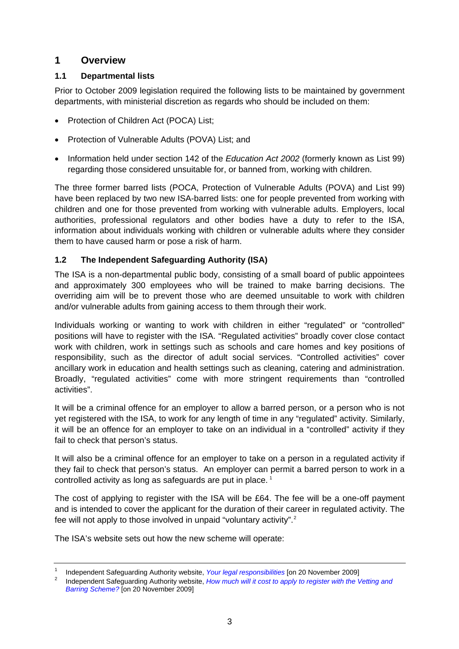# <span id="page-2-0"></span>**1 Overview**

# **1.1 Departmental lists**

Prior to October 2009 legislation required the following lists to be maintained by government departments, with ministerial discretion as regards who should be included on them:

- Protection of Children Act (POCA) List;
- Protection of Vulnerable Adults (POVA) List; and
- Information held under section 142 of the *Education Act 2002* (formerly known as List 99) regarding those considered unsuitable for, or banned from, working with children.

The three former barred lists (POCA, Protection of Vulnerable Adults (POVA) and List 99) have been replaced by two new ISA-barred lists: one for people prevented from working with children and one for those prevented from working with vulnerable adults. Employers, local authorities, professional regulators and other bodies have a duty to refer to the ISA, information about individuals working with children or vulnerable adults where they consider them to have caused harm or pose a risk of harm.

# **1.2 The Independent Safeguarding Authority (ISA)**

The ISA is a non-departmental public body, consisting of a small board of public appointees and approximately 300 employees who will be trained to make barring decisions. The overriding aim will be to prevent those who are deemed unsuitable to work with children and/or vulnerable adults from gaining access to them through their work.

Individuals working or wanting to work with children in either "regulated" or "controlled" positions will have to register with the ISA. "Regulated activities" broadly cover close contact work with children, work in settings such as schools and care homes and key positions of responsibility, such as the director of adult social services. "Controlled activities" cover ancillary work in education and health settings such as cleaning, catering and administration. Broadly, "regulated activities" come with more stringent requirements than "controlled activities".

It will be a criminal offence for an employer to allow a barred person, or a person who is not yet registered with the ISA, to work for any length of time in any "regulated" activity. Similarly, it will be an offence for an employer to take on an individual in a "controlled" activity if they fail to check that person's status.

It will also be a criminal offence for an employer to take on a person in a regulated activity if they fail to check that person's status. An employer can permit a barred person to work in a controlled activity as long as safeguards are put in place.<sup>[1](#page-2-1)</sup>

The cost of applying to register with the ISA will be £64. The fee will be a one-off payment and is intended to cover the applicant for the duration of their career in regulated activity. The fee will not apply to those involved in unpaid "voluntary activity".<sup>[2](#page-2-2)</sup>

The ISA's website sets out how the new scheme will operate:

<span id="page-2-1"></span><sup>1</sup> <sup>1</sup> Independent Safeguarding Authority website, *Your legal responsibilities* [on 20 November 2009]

<span id="page-2-2"></span>Independent Safeguarding Authority website, *[How much will it cost to apply to register with the Vetting and](http://www.isa-gov.org.uk/Default.aspx?page=355)  [Barring Scheme?](http://www.isa-gov.org.uk/Default.aspx?page=355)* [on 20 November 2009]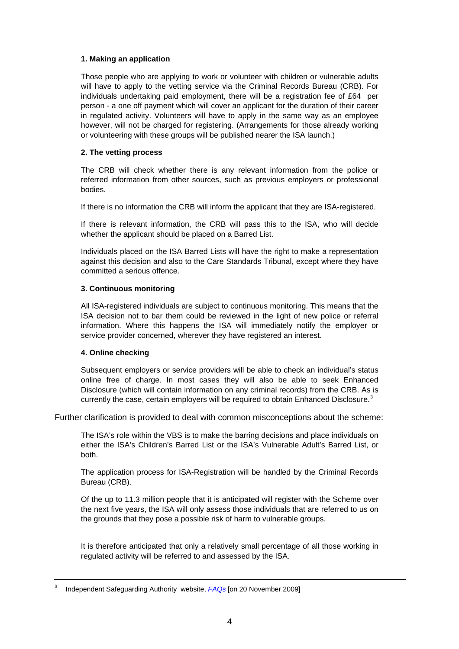#### **1. Making an application**

Those people who are applying to work or volunteer with children or vulnerable adults will have to apply to the vetting service via the Criminal Records Bureau (CRB). For individuals undertaking paid employment, there will be a registration fee of £64 per person - a one off payment which will cover an applicant for the duration of their career in regulated activity. Volunteers will have to apply in the same way as an employee however, will not be charged for registering. (Arrangements for those already working or volunteering with these groups will be published nearer the ISA launch.)

### **2. The vetting process**

The CRB will check whether there is any relevant information from the police or referred information from other sources, such as previous employers or professional bodies.

If there is no information the CRB will inform the applicant that they are ISA-registered.

If there is relevant information, the CRB will pass this to the ISA, who will decide whether the applicant should be placed on a Barred List.

Individuals placed on the ISA Barred Lists will have the right to make a representation against this decision and also to the Care Standards Tribunal, except where they have committed a serious offence.

#### **3. Continuous monitoring**

All ISA-registered individuals are subject to continuous monitoring. This means that the ISA decision not to bar them could be reviewed in the light of new police or referral information. Where this happens the ISA will immediately notify the employer or service provider concerned, wherever they have registered an interest.

#### **4. Online checking**

Subsequent employers or service providers will be able to check an individual's status online free of charge. In most cases they will also be able to seek Enhanced Disclosure (which will contain information on any criminal records) from the CRB. As is currently the case, certain employers will be required to obtain Enhanced Disclosure.<sup>[3](#page-3-0)</sup>

Further clarification is provided to deal with common misconceptions about the scheme:

The ISA's role within the VBS is to make the barring decisions and place individuals on either the ISA's Children's Barred List or the ISA's Vulnerable Adult's Barred List, or both.

The application process for ISA-Registration will be handled by the Criminal Records Bureau (CRB).

Of the up to 11.3 million people that it is anticipated will register with the Scheme over the next five years, the ISA will only assess those individuals that are referred to us on the grounds that they pose a possible risk of harm to vulnerable groups.

It is therefore anticipated that only a relatively small percentage of all those working in regulated activity will be referred to and assessed by the ISA.

<span id="page-3-0"></span><sup>3</sup> Independent Safeguarding Authority website, *[FAQs](http://www.isa-gov.org.uk/default.aspx?page=324)* [on 20 November 2009]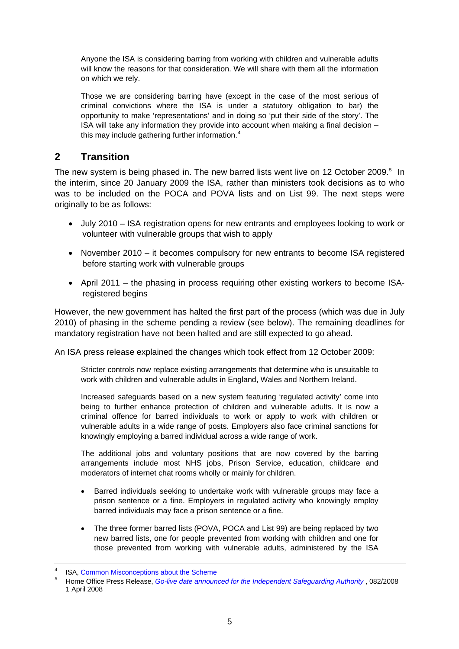<span id="page-4-0"></span>Anyone the ISA is considering barring from working with children and vulnerable adults will know the reasons for that consideration. We will share with them all the information on which we rely.

Those we are considering barring have (except in the case of the most serious of criminal convictions where the ISA is under a statutory obligation to bar) the opportunity to make 'representations' and in doing so 'put their side of the story'. The ISA will take any information they provide into account when making a final decision – this may include gathering further information.<sup>[4](#page-4-1)</sup>

# **2 Transition**

The new system is being phased in. The new barred lists went live on 12 October 2009.<sup>[5](#page-4-2)</sup> In the interim, since 20 January 2009 the ISA, rather than ministers took decisions as to who was to be included on the POCA and POVA lists and on List 99. The next steps were originally to be as follows:

- July 2010 ISA registration opens for new entrants and employees looking to work or volunteer with vulnerable groups that wish to apply
- November 2010 it becomes compulsory for new entrants to become ISA registered before starting work with vulnerable groups
- April 2011 the phasing in process requiring other existing workers to become ISAregistered begins

However, the new government has halted the first part of the process (which was due in July 2010) of phasing in the scheme pending a review (see below). The remaining deadlines for mandatory registration have not been halted and are still expected to go ahead.

An ISA press release explained the changes which took effect from 12 October 2009:

Stricter controls now replace existing arrangements that determine who is unsuitable to work with children and vulnerable adults in England, Wales and Northern Ireland.

Increased safeguards based on a new system featuring 'regulated activity' come into being to further enhance protection of children and vulnerable adults. It is now a criminal offence for barred individuals to work or apply to work with children or vulnerable adults in a wide range of posts. Employers also face criminal sanctions for knowingly employing a barred individual across a wide range of work.

The additional jobs and voluntary positions that are now covered by the barring arrangements include most NHS jobs, Prison Service, education, childcare and moderators of internet chat rooms wholly or mainly for children.

- Barred individuals seeking to undertake work with vulnerable groups may face a prison sentence or a fine. Employers in regulated activity who knowingly employ barred individuals may face a prison sentence or a fine.
- The three former barred lists (POVA, POCA and List 99) are being replaced by two new barred lists, one for people prevented from working with children and one for those prevented from working with vulnerable adults, administered by the ISA

<span id="page-4-2"></span><span id="page-4-1"></span><sup>4</sup> ISA, [Common Misconceptions about the Scheme](http://www.isa-gov.org.uk/default.aspx?page=409) 5

Home Office Press Release, *[Go-live date announced for the Independent Safeguarding Authority](http://press.homeoffice.gov.uk/press-releases/independent-authority-go-live)* , 082/2008 1 April 2008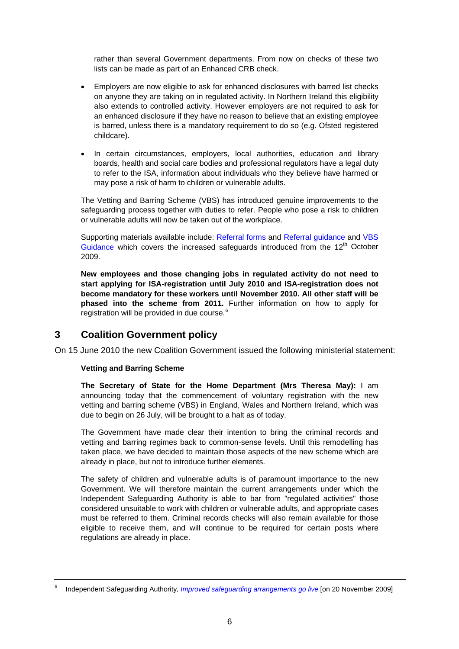<span id="page-5-0"></span>rather than several Government departments. From now on checks of these two lists can be made as part of an Enhanced CRB check.

- Employers are now eligible to ask for enhanced disclosures with barred list checks on anyone they are taking on in regulated activity. In Northern Ireland this eligibility also extends to controlled activity. However employers are not required to ask for an enhanced disclosure if they have no reason to believe that an existing employee is barred, unless there is a mandatory requirement to do so (e.g. Ofsted registered childcare).
- In certain circumstances, employers, local authorities, education and library boards, health and social care bodies and professional regulators have a legal duty to refer to the ISA, information about individuals who they believe have harmed or may pose a risk of harm to children or vulnerable adults.

The Vetting and Barring Scheme (VBS) has introduced genuine improvements to the safeguarding process together with duties to refer. People who pose a risk to children or vulnerable adults will now be taken out of the workplace.

Supporting materials available include: [Referral forms](http://www.isa.homeoffice.gov.uk/) and [Referral guidance](http://www.isa.homeoffice.gov.uk/) and [VBS](http://www.isa.homeoffice.gov.uk/)  [Guidance](http://www.isa.homeoffice.gov.uk/) which covers the increased safeguards introduced from the  $12<sup>th</sup>$  October 2009.

**New employees and those changing jobs in regulated activity do not need to start applying for ISA-registration until July 2010 and ISA-registration does not become mandatory for these workers until November 2010. All other staff will be phased into the scheme from 2011.** Further information on how to apply for registration will be provided in due course.<sup>[6](#page-5-1)</sup>

# **3 Coalition Government policy**

On 15 June 2010 the new Coalition Government issued the following ministerial statement:

# **Vetting and Barring Scheme**

**The Secretary of State for the Home Department (Mrs Theresa May):** I am announcing today that the commencement of voluntary registration with the new vetting and barring scheme (VBS) in England, Wales and Northern Ireland, which was due to begin on 26 July, will be brought to a halt as of today.

The Government have made clear their intention to bring the criminal records and vetting and barring regimes back to common-sense levels. Until this remodelling has taken place, we have decided to maintain those aspects of the new scheme which are already in place, but not to introduce further elements.

The safety of children and vulnerable adults is of paramount importance to the new Government. We will therefore maintain the current arrangements under which the Independent Safeguarding Authority is able to bar from "regulated activities" those considered unsuitable to work with children or vulnerable adults, and appropriate cases must be referred to them. Criminal records checks will also remain available for those eligible to receive them, and will continue to be required for certain posts where regulations are already in place.

<span id="page-5-1"></span><sup>6</sup> Independent Safeguarding Authority, *[Improved safeguarding arrangements go live](http://www.isa-gov.org.uk/default.aspx?page=401)* [on 20 November 2009]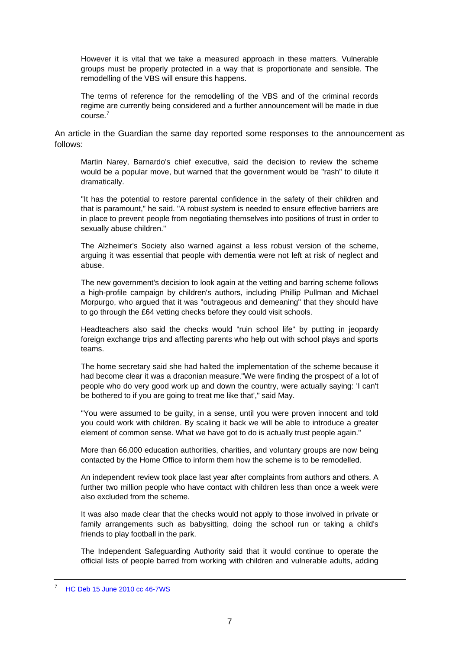However it is vital that we take a measured approach in these matters. Vulnerable groups must be properly protected in a way that is proportionate and sensible. The remodelling of the VBS will ensure this happens.

The terms of reference for the remodelling of the VBS and of the criminal records regime are currently being considered and a further announcement will be made in due course.[7](#page-6-0)

An article in the Guardian the same day reported some responses to the announcement as follows:

Martin Narey, Barnardo's chief executive, said the decision to review the scheme would be a popular move, but warned that the government would be "rash" to dilute it dramatically.

"It has the potential to restore parental confidence in the safety of their children and that is paramount," he said. "A robust system is needed to ensure effective barriers are in place to prevent people from negotiating themselves into positions of trust in order to sexually abuse children."

The Alzheimer's Society also warned against a less robust version of the scheme, arguing it was essential that people with dementia were not left at risk of neglect and abuse.

The new government's decision to look again at the vetting and barring scheme follows a high-profile campaign by children's authors, including Phillip Pullman and Michael Morpurgo, who argued that it was "outrageous and demeaning" that they should have to go through the £64 vetting checks before they could visit schools.

Headteachers also said the checks would "ruin school life" by putting in jeopardy foreign exchange trips and affecting parents who help out with school plays and sports teams.

The home secretary said she had halted the implementation of the scheme because it had become clear it was a draconian measure."We were finding the prospect of a lot of people who do very good work up and down the country, were actually saying: 'I can't be bothered to if you are going to treat me like that'," said May.

"You were assumed to be guilty, in a sense, until you were proven innocent and told you could work with children. By scaling it back we will be able to introduce a greater element of common sense. What we have got to do is actually trust people again."

More than 66,000 education authorities, charities, and voluntary groups are now being contacted by the Home Office to inform them how the scheme is to be remodelled.

An independent review took place last year after complaints from authors and others. A further two million people who have contact with children less than once a week were also excluded from the scheme.

It was also made clear that the checks would not apply to those involved in private or family arrangements such as babysitting, doing the school run or taking a child's friends to play football in the park.

The Independent Safeguarding Authority said that it would continue to operate the official lists of people barred from working with children and vulnerable adults, adding

<span id="page-6-0"></span><sup>7</sup> [HC Deb 15 June 2010 cc 46-7WS](http://www.publications.parliament.uk/pa/cm201011/cmhansrd/cm100615/wmstext/100615m0001.htm#10061518000004)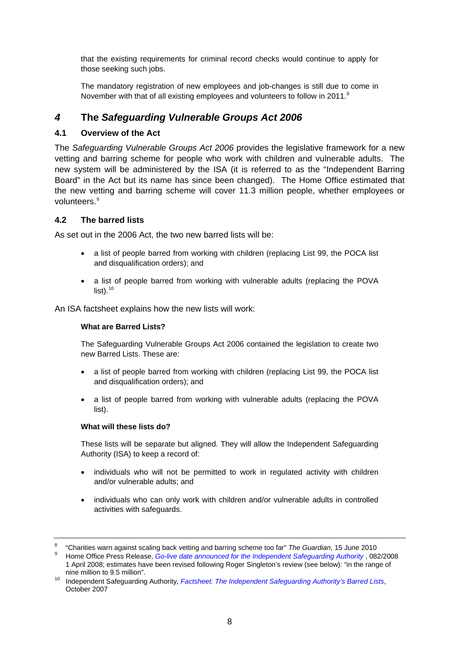<span id="page-7-0"></span>that the existing requirements for criminal record checks would continue to apply for those seeking such jobs.

The mandatory registration of new employees and job-changes is still due to come in November with that of all existing employees and volunteers to follow in 2011.<sup>[8](#page-7-1)</sup>

# *4* **The** *Safeguarding Vulnerable Groups Act 2006*

# **4.1 Overview of the Act**

The *Safeguarding Vulnerable Groups Act 2006* provides the legislative framework for a new vetting and barring scheme for people who work with children and vulnerable adults. The new system will be administered by the ISA (it is referred to as the "Independent Barring Board" in the Act but its name has since been changed). The Home Office estimated that the new vetting and barring scheme will cover 11.3 million people, whether employees or volunteers.<sup>[9](#page-7-2)</sup>

# **4.2 The barred lists**

As set out in the 2006 Act, the two new barred lists will be:

- a list of people barred from working with children (replacing List 99, the POCA list and disqualification orders); and
- a list of people barred from working with vulnerable adults (replacing the POVA  $list)$ .<sup>[10](#page-7-3)</sup>

An ISA factsheet explains how the new lists will work:

#### **What are Barred Lists?**

The Safeguarding Vulnerable Groups Act 2006 contained the legislation to create two new Barred Lists. These are:

- a list of people barred from working with children (replacing List 99, the POCA list and disqualification orders); and
- a list of people barred from working with vulnerable adults (replacing the POVA list).

#### **What will these lists do?**

These lists will be separate but aligned. They will allow the Independent Safeguarding Authority (ISA) to keep a record of:

- individuals who will not be permitted to work in regulated activity with children and/or vulnerable adults; and
- individuals who can only work with children and/or vulnerable adults in controlled activities with safeguards.

<sup>&</sup>lt;sup>8</sup> "Charities warn against scaling back vetting and barring scheme too far" *The Guardian*, 15 June 2010<br><sup>9</sup> Hame Office Press Belgase, Co live date appeuseed for the Independent Sefecuarding Authority, 08

<span id="page-7-2"></span><span id="page-7-1"></span>Home Office Press Release, *[Go-live date announced for the Independent Safeguarding Authority](http://press.homeoffice.gov.uk/press-releases/independent-authority-go-live)* , 082/2008 1 April 2008; estimates have been revised following Roger Singleton's review (see below): "in the range of

<span id="page-7-3"></span>nine million to 9.5 million". 10 Independent Safeguarding Authority, *[Factsheet: The Independent Safeguarding Authority's Barred Lists](http://www.isa-gov.org.uk/PDF/283896_ISA_A4_FactSheetNo4.pdf)*, October 2007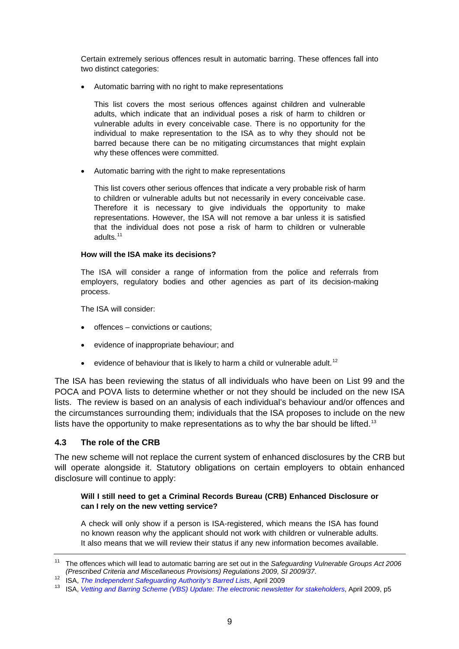<span id="page-8-0"></span>Certain extremely serious offences result in automatic barring. These offences fall into two distinct categories:

• Automatic barring with no right to make representations

This list covers the most serious offences against children and vulnerable adults, which indicate that an individual poses a risk of harm to children or vulnerable adults in every conceivable case. There is no opportunity for the individual to make representation to the ISA as to why they should not be barred because there can be no mitigating circumstances that might explain why these offences were committed.

• Automatic barring with the right to make representations

This list covers other serious offences that indicate a very probable risk of harm to children or vulnerable adults but not necessarily in every conceivable case. Therefore it is necessary to give individuals the opportunity to make representations. However, the ISA will not remove a bar unless it is satisfied that the individual does not pose a risk of harm to children or vulnerable adults.<sup>[11](#page-8-1)</sup>

#### **How will the ISA make its decisions?**

The ISA will consider a range of information from the police and referrals from employers, regulatory bodies and other agencies as part of its decision-making process.

The ISA will consider:

- offences convictions or cautions;
- evidence of inappropriate behaviour; and
- evidence of behaviour that is likely to harm a child or vulnerable adult.<sup>[12](#page-8-2)</sup>

The ISA has been reviewing the status of all individuals who have been on List 99 and the POCA and POVA lists to determine whether or not they should be included on the new ISA lists. The review is based on an analysis of each individual's behaviour and/or offences and the circumstances surrounding them; individuals that the ISA proposes to include on the new lists have the opportunity to make representations as to why the bar should be lifted.<sup>[13](#page-8-3)</sup>

# **4.3 The role of the CRB**

The new scheme will not replace the current system of enhanced disclosures by the CRB but will operate alongside it. Statutory obligations on certain employers to obtain enhanced disclosure will continue to apply:

# **Will I still need to get a Criminal Records Bureau (CRB) Enhanced Disclosure or can I rely on the new vetting service?**

A check will only show if a person is ISA-registered, which means the ISA has found no known reason why the applicant should not work with children or vulnerable adults. It also means that we will review their status if any new information becomes available.

<span id="page-8-1"></span><sup>11</sup> The offences which will lead to automatic barring are set out in the *Safeguarding Vulnerable Groups Act 2006* 

<span id="page-8-3"></span><span id="page-8-2"></span><sup>12</sup> ISA, The Independent Safeguarding Authority's Barred Lists, April 2009<br><sup>13</sup> ISA, [Vetting and Barring Scheme \(VBS\) Update: The electronic newsletter for stakeholders](http://www.isa-gov.org.uk/pdf/VBS_Stakeholder_newsletter-April2009.pdf), April 2009, p5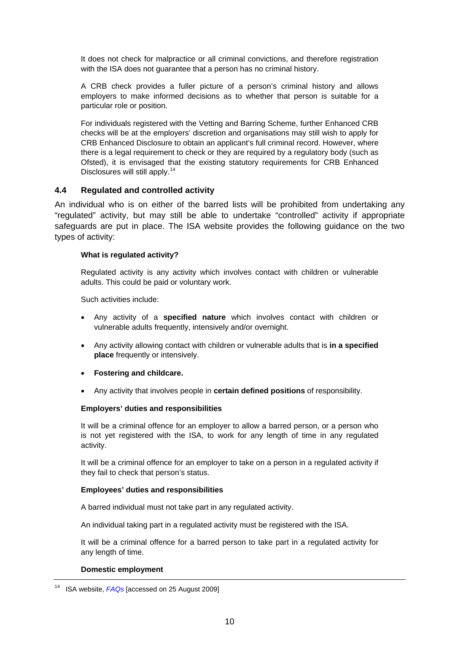<span id="page-9-0"></span>It does not check for malpractice or all criminal convictions, and therefore registration with the ISA does not guarantee that a person has no criminal history.

A CRB check provides a fuller picture of a person's criminal history and allows employers to make informed decisions as to whether that person is suitable for a particular role or position.

For individuals registered with the Vetting and Barring Scheme, further Enhanced CRB checks will be at the employers' discretion and organisations may still wish to apply for CRB Enhanced Disclosure to obtain an applicant's full criminal record. However, where there is a legal requirement to check or they are required by a regulatory body (such as Ofsted), it is envisaged that the existing statutory requirements for CRB Enhanced Disclosures will still apply.<sup>[14](#page-9-1)</sup>

# **4.4 Regulated and controlled activity**

An individual who is on either of the barred lists will be prohibited from undertaking any "regulated" activity, but may still be able to undertake "controlled" activity if appropriate safeguards are put in place. The ISA website provides the following guidance on the two types of activity:

#### **What is regulated activity?**

Regulated activity is any activity which involves contact with children or vulnerable adults. This could be paid or voluntary work.

Such activities include:

- Any activity of a **specified nature** which involves contact with children or vulnerable adults frequently, intensively and/or overnight.
- Any activity allowing contact with children or vulnerable adults that is **in a specified place** frequently or intensively.
- **Fostering and childcare.**
- Any activity that involves people in **certain defined positions** of responsibility.

#### **Employers' duties and responsibilities**

It will be a criminal offence for an employer to allow a barred person, or a person who is not yet registered with the ISA, to work for any length of time in any regulated activity.

It will be a criminal offence for an employer to take on a person in a regulated activity if they fail to check that person's status.

#### **Employees' duties and responsibilities**

A barred individual must not take part in any regulated activity.

An individual taking part in a regulated activity must be registered with the ISA.

It will be a criminal offence for a barred person to take part in a regulated activity for any length of time.

#### **Domestic employment**

<span id="page-9-1"></span><sup>14</sup> ISA website, *[FAQs](http://www.isa-gov.org.uk/Default.aspx?page=327)* [accessed on 25 August 2009]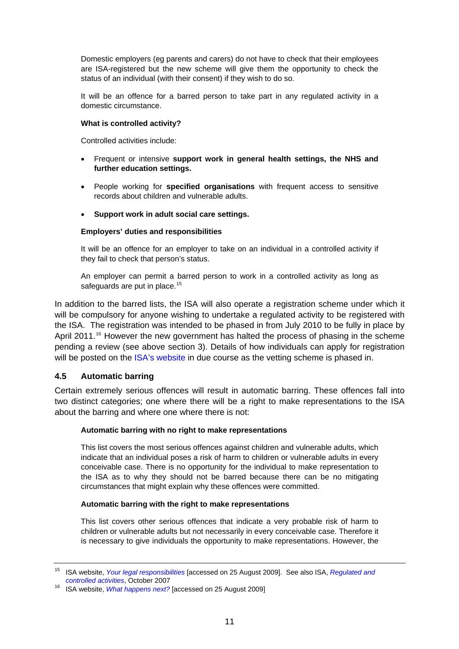<span id="page-10-0"></span>Domestic employers (eg parents and carers) do not have to check that their employees are ISA-registered but the new scheme will give them the opportunity to check the status of an individual (with their consent) if they wish to do so.

It will be an offence for a barred person to take part in any regulated activity in a domestic circumstance.

#### **What is controlled activity?**

Controlled activities include:

- Frequent or intensive **support work in general health settings, the NHS and further education settings.**
- People working for **specified organisations** with frequent access to sensitive records about children and vulnerable adults.
- **Support work in adult social care settings.**

#### **Employers' duties and responsibilities**

It will be an offence for an employer to take on an individual in a controlled activity if they fail to check that person's status.

An employer can permit a barred person to work in a controlled activity as long as safeguards are put in place.<sup>[15](#page-10-1)</sup>

In addition to the barred lists, the ISA will also operate a registration scheme under which it will be compulsory for anyone wishing to undertake a regulated activity to be registered with the ISA. The registration was intended to be phased in from July 2010 to be fully in place by April 2011.<sup>[16](#page-10-2)</sup> However the new government has halted the process of phasing in the scheme pending a review (see above section 3). Details of how individuals can apply for registration will be posted on the [ISA's website](http://www.isa-gov.org.uk/Default.aspx?page=332) in due course as the vetting scheme is phased in.

# **4.5 Automatic barring**

Certain extremely serious offences will result in automatic barring. These offences fall into two distinct categories; one where there will be a right to make representations to the ISA about the barring and where one where there is not:

#### **Automatic barring with no right to make representations**

This list covers the most serious offences against children and vulnerable adults, which indicate that an individual poses a risk of harm to children or vulnerable adults in every conceivable case. There is no opportunity for the individual to make representation to the ISA as to why they should not be barred because there can be no mitigating circumstances that might explain why these offences were committed.

# **Automatic barring with the right to make representations**

This list covers other serious offences that indicate a very probable risk of harm to children or vulnerable adults but not necessarily in every conceivable case. Therefore it is necessary to give individuals the opportunity to make representations. However, the

<span id="page-10-1"></span><sup>15</sup> ISA website, *[Your legal responsibilities](http://www.isa-gov.org.uk/Default.aspx?page=314)* [accessed on 25 August 2009]. See also ISA, *[Regulated and](http://www.isa-gov.org.uk/PDF/283896_ISA_A4_FactSheetNo3.pdf)* 

<span id="page-10-2"></span><sup>&</sup>lt;sup>16</sup> ISA website, *What happens next?* [accessed on 25 August 2009]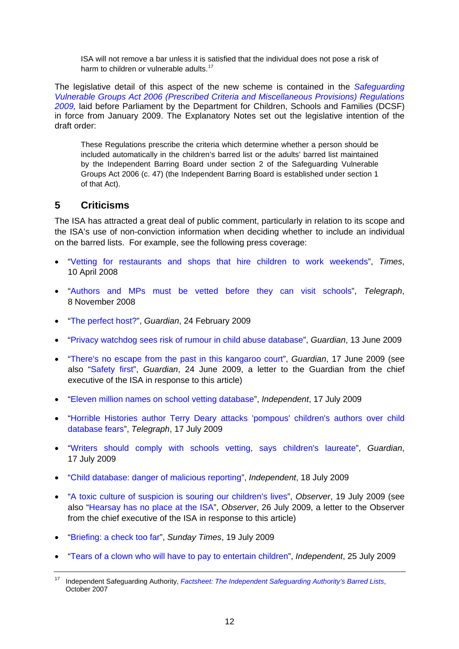<span id="page-11-0"></span>ISA will not remove a bar unless it is satisfied that the individual does not pose a risk of harm to children or vulnerable adults.<sup>[17](#page-11-1)</sup>

The legislative detail of this aspect of the new scheme is contained in the *[Safeguarding](http://www.opsi.gov.uk/si/si2009/uksi_20090037_en_1)  [Vulnerable Groups Act 2006 \(Prescribed Criteria and Miscellaneous Provisions\) Regulations](http://www.opsi.gov.uk/si/si2009/uksi_20090037_en_1)  [2009](http://www.opsi.gov.uk/si/si2009/uksi_20090037_en_1),* laid before Parliament by the Department for Children, Schools and Families (DCSF) in force from January 2009. The Explanatory Notes set out the legislative intention of the draft order:

These Regulations prescribe the criteria which determine whether a person should be included automatically in the children's barred list or the adults' barred list maintained by the Independent Barring Board under section 2 of the Safeguarding Vulnerable Groups Act 2006 (c. 47) (the Independent Barring Board is established under section 1 of that Act).

# **5 Criticisms**

The ISA has attracted a great deal of public comment, particularly in relation to its scope and the ISA's use of non-conviction information when deciding whether to include an individual on the barred lists. For example, see the following press coverage:

- "[Vetting for restaurants and shops that hire children to work weekends](http://www.timesonline.co.uk/tol/news/uk/article3716359.ece)", *Times*, 10 April 2008
- "[Authors and MPs must be vetted before they can visit schools"](http://www.telegraph.co.uk/education/3398079/Authors-and-MPs-must-be-vetted-before-they-can-visit-schools.html), *Telegraph*, 8 November 2008
- "[The perfect host?](http://www.guardian.co.uk/schooltrips/perfect-host)", *Guardian*, 24 February 2009
- "[Privacy watchdog sees risk of rumour in child abuse database](http://www.guardian.co.uk/society/2009/jun/13/watchdog-child-protection-database)", *Guardian*, 13 June 2009
- "[There's no escape from the past in this kangaroo court"](http://www.guardian.co.uk/society/2009/jun/17/mark-johnson-prisons-probation), *Guardian*, 17 June 2009 (see also "[Safety first"](http://www.guardian.co.uk/society/2009/jun/24/society-letters), *Guardian*, 24 June 2009, a letter to the Guardian from the chief executive of the ISA in response to this article)
- "[Eleven million names on school vetting database](http://www.independent.co.uk/news/education/education-news/eleven-million-names-on-school-vetting-database-1750103.html)", *Independent*, 17 July 2009
- "[Horrible Histories author Terry Deary attacks 'pompous' children's authors over child](http://www.telegraph.co.uk/news/5843138/Horrible-Histories-author-Terry-Deary-attacks-pompous-childrens-authors-over-child-database-fears.html)  [database fears"](http://www.telegraph.co.uk/news/5843138/Horrible-Histories-author-Terry-Deary-attacks-pompous-childrens-authors-over-child-database-fears.html), *Telegraph*, 17 July 2009
- "[Writers should comply with schools vetting, says children's laureate](http://www.guardian.co.uk/books/2009/jul/16/writers-schools-vetting-children-s-laureate)", *Guardian*, 17 July 2009
- "[Child database: danger of malicious reporting"](http://www.independent.co.uk/news/uk/home-news/child-database-danger-of-malicious-reporting-1751552.html), *Independent*, 18 July 2009
- "[A toxic culture of suspicion is souring our children's lives"](http://www.guardian.co.uk/commentisfree/2009/jul/19/adults-children-paranoia-surveillance), *Observer*, 19 July 2009 (see also ["Hearsay has no place at the ISA"](http://www.guardian.co.uk/uk/2009/jul/26/your-letters-observer), *Observer*, 26 July 2009, a letter to the Observer from the chief executive of the ISA in response to this article)
- "[Briefing: a check too far](http://www.timesonline.co.uk/tol/news/uk/education/article6719039.ece?FORM=ZZNR2)", *Sunday Times*, 19 July 2009
- "[Tears of a clown who will have to pay to entertain children"](http://www.independent.co.uk/arts-entertainment/theatre-dance/news/tears-of-a-clown-who-will-have-to-pay-to-entertain-children-1760696.html), *Independent*, 25 July 2009

<span id="page-11-1"></span><sup>17</sup> Independent Safeguarding Authority, *[Factsheet: The Independent Safeguarding Authority's Barred Lists](http://www.isa-gov.org.uk/PDF/283896_ISA_A4_FactSheetNo4.pdf)*, October 2007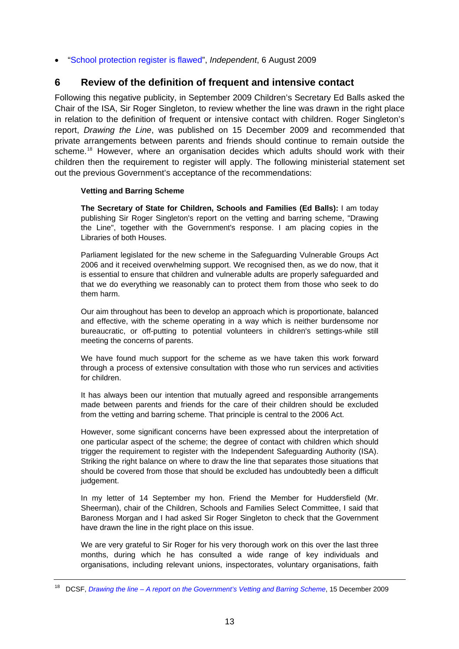<span id="page-12-0"></span>• "[School protection register is flawed](http://www.independent.co.uk/news/education/education-news/school-protection-register-is-flawed-1767907.html)", *Independent*, 6 August 2009

# **6 Review of the definition of frequent and intensive contact**

Following this negative publicity, in September 2009 Children's Secretary Ed Balls asked the Chair of the ISA, Sir Roger Singleton, to review whether the line was drawn in the right place in relation to the definition of frequent or intensive contact with children. Roger Singleton's report, *Drawing the Line*, was published on 15 December 2009 and recommended that private arrangements between parents and friends should continue to remain outside the scheme.<sup>[18](#page-12-1)</sup> However, where an organisation decides which adults should work with their children then the requirement to register will apply. The following ministerial statement set out the previous Government's acceptance of the recommendations:

#### **Vetting and Barring Scheme**

**The Secretary of State for Children, Schools and Families (Ed Balls):** I am today publishing Sir Roger Singleton's report on the vetting and barring scheme, "Drawing the Line", together with the Government's response. I am placing copies in the Libraries of both Houses.

Parliament legislated for the new scheme in the Safeguarding Vulnerable Groups Act 2006 and it received overwhelming support. We recognised then, as we do now, that it is essential to ensure that children and vulnerable adults are properly safeguarded and that we do everything we reasonably can to protect them from those who seek to do them harm.

Our aim throughout has been to develop an approach which is proportionate, balanced and effective, with the scheme operating in a way which is neither burdensome nor bureaucratic, or off-putting to potential volunteers in children's settings-while still meeting the concerns of parents.

We have found much support for the scheme as we have taken this work forward through a process of extensive consultation with those who run services and activities for children.

It has always been our intention that mutually agreed and responsible arrangements made between parents and friends for the care of their children should be excluded from the vetting and barring scheme. That principle is central to the 2006 Act.

However, some significant concerns have been expressed about the interpretation of one particular aspect of the scheme; the degree of contact with children which should trigger the requirement to register with the Independent Safeguarding Authority (ISA). Striking the right balance on where to draw the line that separates those situations that should be covered from those that should be excluded has undoubtedly been a difficult judgement.

In my letter of 14 September my hon. Friend the Member for Huddersfield (Mr. Sheerman), chair of the Children, Schools and Families Select Committee, I said that Baroness Morgan and I had asked Sir Roger Singleton to check that the Government have drawn the line in the right place on this issue.

We are very grateful to Sir Roger for his very thorough work on this over the last three months, during which he has consulted a wide range of key individuals and organisations, including relevant unions, inspectorates, voluntary organisations, faith

<span id="page-12-1"></span><sup>18</sup> DCSF, *[Drawing the line – A report on the Government's Vetting and Barring Scheme](http://publications.everychildmatters.gov.uk/default.aspx?DCSF-01122-2009)*, 15 December 2009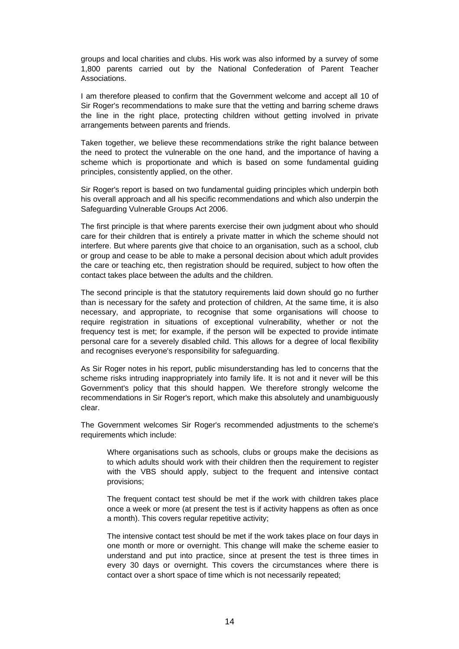groups and local charities and clubs. His work was also informed by a survey of some 1,800 parents carried out by the National Confederation of Parent Teacher Associations.

I am therefore pleased to confirm that the Government welcome and accept all 10 of Sir Roger's recommendations to make sure that the vetting and barring scheme draws the line in the right place, protecting children without getting involved in private arrangements between parents and friends.

Taken together, we believe these recommendations strike the right balance between the need to protect the vulnerable on the one hand, and the importance of having a scheme which is proportionate and which is based on some fundamental guiding principles, consistently applied, on the other.

Sir Roger's report is based on two fundamental guiding principles which underpin both his overall approach and all his specific recommendations and which also underpin the Safeguarding Vulnerable Groups Act 2006.

The first principle is that where parents exercise their own judgment about who should care for their children that is entirely a private matter in which the scheme should not interfere. But where parents give that choice to an organisation, such as a school, club or group and cease to be able to make a personal decision about which adult provides the care or teaching etc, then registration should be required, subject to how often the contact takes place between the adults and the children.

The second principle is that the statutory requirements laid down should go no further than is necessary for the safety and protection of children, At the same time, it is also necessary, and appropriate, to recognise that some organisations will choose to require registration in situations of exceptional vulnerability, whether or not the frequency test is met; for example, if the person will be expected to provide intimate personal care for a severely disabled child. This allows for a degree of local flexibility and recognises everyone's responsibility for safeguarding.

As Sir Roger notes in his report, public misunderstanding has led to concerns that the scheme risks intruding inappropriately into family life. It is not and it never will be this Government's policy that this should happen. We therefore strongly welcome the recommendations in Sir Roger's report, which make this absolutely and unambiguously clear.

The Government welcomes Sir Roger's recommended adjustments to the scheme's requirements which include:

Where organisations such as schools, clubs or groups make the decisions as to which adults should work with their children then the requirement to register with the VBS should apply, subject to the frequent and intensive contact provisions;

The frequent contact test should be met if the work with children takes place once a week or more (at present the test is if activity happens as often as once a month). This covers regular repetitive activity;

The intensive contact test should be met if the work takes place on four days in one month or more or overnight. This change will make the scheme easier to understand and put into practice, since at present the test is three times in every 30 days or overnight. This covers the circumstances where there is contact over a short space of time which is not necessarily repeated;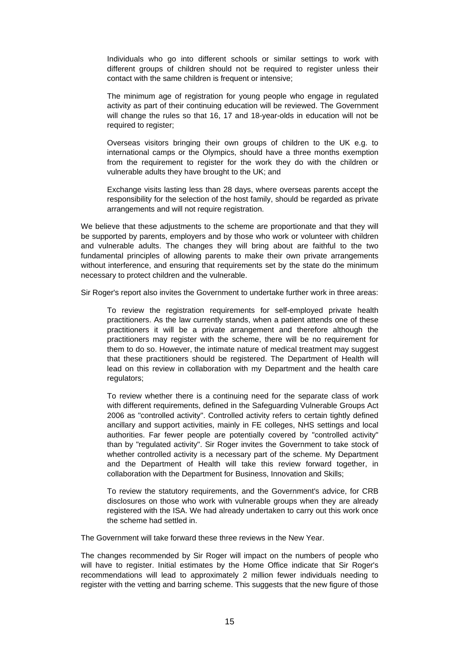Individuals who go into different schools or similar settings to work with different groups of children should not be required to register unless their contact with the same children is frequent or intensive;

The minimum age of registration for young people who engage in regulated activity as part of their continuing education will be reviewed. The Government will change the rules so that 16, 17 and 18-year-olds in education will not be required to register:

Overseas visitors bringing their own groups of children to the UK e.g. to international camps or the Olympics, should have a three months exemption from the requirement to register for the work they do with the children or vulnerable adults they have brought to the UK; and

Exchange visits lasting less than 28 days, where overseas parents accept the responsibility for the selection of the host family, should be regarded as private arrangements and will not require registration.

We believe that these adjustments to the scheme are proportionate and that they will be supported by parents, employers and by those who work or volunteer with children and vulnerable adults. The changes they will bring about are faithful to the two fundamental principles of allowing parents to make their own private arrangements without interference, and ensuring that requirements set by the state do the minimum necessary to protect children and the vulnerable.

Sir Roger's report also invites the Government to undertake further work in three areas:

To review the registration requirements for self-employed private health practitioners. As the law currently stands, when a patient attends one of these practitioners it will be a private arrangement and therefore although the practitioners may register with the scheme, there will be no requirement for them to do so. However, the intimate nature of medical treatment may suggest that these practitioners should be registered. The Department of Health will lead on this review in collaboration with my Department and the health care regulators:

To review whether there is a continuing need for the separate class of work with different requirements, defined in the Safeguarding Vulnerable Groups Act 2006 as "controlled activity". Controlled activity refers to certain tightly defined ancillary and support activities, mainly in FE colleges, NHS settings and local authorities. Far fewer people are potentially covered by "controlled activity" than by "regulated activity". Sir Roger invites the Government to take stock of whether controlled activity is a necessary part of the scheme. My Department and the Department of Health will take this review forward together, in collaboration with the Department for Business, Innovation and Skills;

To review the statutory requirements, and the Government's advice, for CRB disclosures on those who work with vulnerable groups when they are already registered with the ISA. We had already undertaken to carry out this work once the scheme had settled in.

The Government will take forward these three reviews in the New Year.

The changes recommended by Sir Roger will impact on the numbers of people who will have to register. Initial estimates by the Home Office indicate that Sir Roger's recommendations will lead to approximately 2 million fewer individuals needing to register with the vetting and barring scheme. This suggests that the new figure of those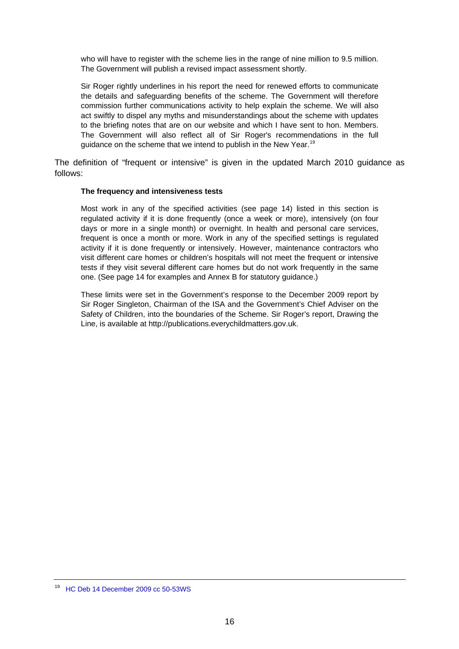who will have to register with the scheme lies in the range of nine million to 9.5 million. The Government will publish a revised impact assessment shortly.

Sir Roger rightly underlines in his report the need for renewed efforts to communicate the details and safeguarding benefits of the scheme. The Government will therefore commission further communications activity to help explain the scheme. We will also act swiftly to dispel any myths and misunderstandings about the scheme with updates to the briefing notes that are on our website and which I have sent to hon. Members. The Government will also reflect all of Sir Roger's recommendations in the full guidance on the scheme that we intend to publish in the New Year.<sup>[19](#page-15-0)</sup>

The definition of "frequent or intensive" is given in the updated March 2010 guidance as follows:

#### **The frequency and intensiveness tests**

Most work in any of the specified activities (see page 14) listed in this section is regulated activity if it is done frequently (once a week or more), intensively (on four days or more in a single month) or overnight. In health and personal care services, frequent is once a month or more. Work in any of the specified settings is regulated activity if it is done frequently or intensively. However, maintenance contractors who visit different care homes or children's hospitals will not meet the frequent or intensive tests if they visit several different care homes but do not work frequently in the same one. (See page 14 for examples and Annex B for statutory guidance.)

These limits were set in the Government's response to the December 2009 report by Sir Roger Singleton, Chairman of the ISA and the Government's Chief Adviser on the Safety of Children, into the boundaries of the Scheme. Sir Roger's report, Drawing the Line, is available at http://publications.everychildmatters.gov.uk.

<span id="page-15-0"></span><sup>19</sup> [HC Deb 14 December 2009 cc 50-53WS](http://pubs1.tso.parliament.uk/pa/cm200910/cmhansrd/cm091214/wmstext/91214m0002.htm#0912149000016)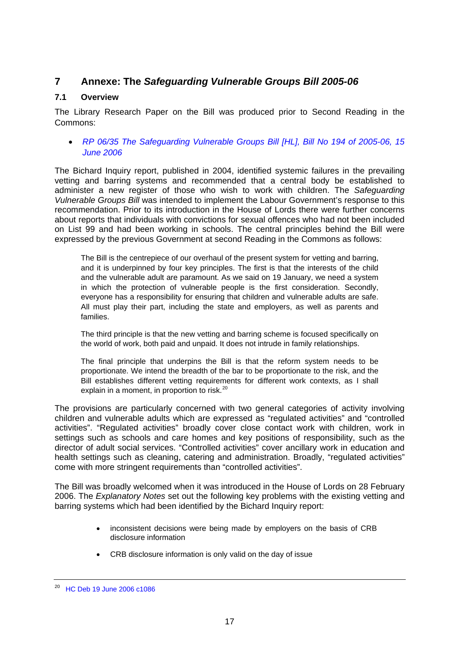# <span id="page-16-0"></span>**7 Annexe: The** *Safeguarding Vulnerable Groups Bill 2005-06*

# **7.1 Overview**

The Library Research Paper on the Bill was produced prior to Second Reading in the Commons:

• *[RP 06/35 The Safeguarding Vulnerable Groups Bill \[HL\], Bill No 194 of 2005-06, 15](http://hcl1.hclibrary.parliament.uk/rp2006/rp06-035.pdf)  [June 2006](http://hcl1.hclibrary.parliament.uk/rp2006/rp06-035.pdf)* 

The Bichard Inquiry report, published in 2004, identified systemic failures in the prevailing vetting and barring systems and recommended that a central body be established to administer a new register of those who wish to work with children. The *Safeguarding Vulnerable Groups Bill* was intended to implement the Labour Government's response to this recommendation. Prior to its introduction in the House of Lords there were further concerns about reports that individuals with convictions for sexual offences who had not been included on List 99 and had been working in schools. The central principles behind the Bill were expressed by the previous Government at second Reading in the Commons as follows:

The Bill is the centrepiece of our overhaul of the present system for vetting and barring, and it is underpinned by four key principles. The first is that the interests of the child and the vulnerable adult are paramount. As we said on 19 January, we need a system in which the protection of vulnerable people is the first consideration. Secondly, everyone has a responsibility for ensuring that children and vulnerable adults are safe. All must play their part, including the state and employers, as well as parents and families.

The third principle is that the new vetting and barring scheme is focused specifically on the world of work, both paid and unpaid. It does not intrude in family relationships.

The final principle that underpins the Bill is that the reform system needs to be proportionate. We intend the breadth of the bar to be proportionate to the risk, and the Bill establishes different vetting requirements for different work contexts, as I shall explain in a moment, in proportion to risk.<sup>[20](#page-16-1)</sup>

The provisions are particularly concerned with two general categories of activity involving children and vulnerable adults which are expressed as "regulated activities" and "controlled activities". "Regulated activities" broadly cover close contact work with children, work in settings such as schools and care homes and key positions of responsibility, such as the director of adult social services. "Controlled activities" cover ancillary work in education and health settings such as cleaning, catering and administration. Broadly, "regulated activities" come with more stringent requirements than "controlled activities".

The Bill was broadly welcomed when it was introduced in the House of Lords on 28 February 2006. The *Explanatory Notes* set out the following key problems with the existing vetting and barring systems which had been identified by the Bichard Inquiry report:

- inconsistent decisions were being made by employers on the basis of CRB disclosure information
- CRB disclosure information is only valid on the day of issue

<span id="page-16-1"></span><sup>20</sup> [HC Deb 19 June 2006 c1086](http://pubs1.tso.parliament.uk/pa/cm200506/cmhansrd/vo060619/debtext/60619-0006.htm#0606198000001)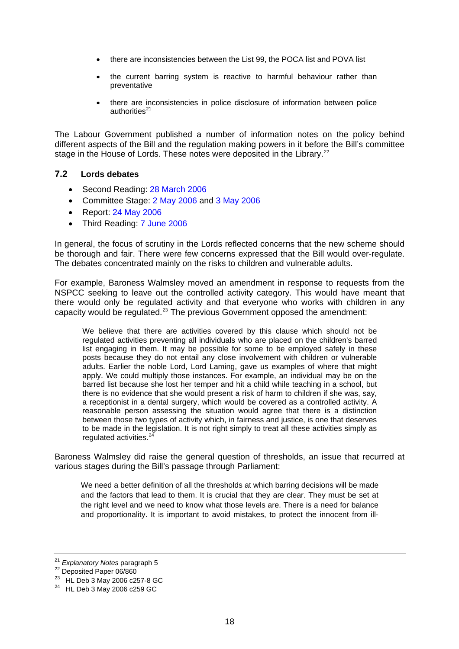- <span id="page-17-0"></span>• there are inconsistencies between the List 99, the POCA list and POVA list
- the current barring system is reactive to harmful behaviour rather than preventative
- there are inconsistencies in police disclosure of information between police authorities $^{21}$  $^{21}$  $^{21}$

The Labour Government published a number of information notes on the policy behind different aspects of the Bill and the regulation making powers in it before the Bill's committee stage in the House of Lords. These notes were deposited in the Library.<sup>[22](#page-17-2)</sup>

#### **7.2 Lords debates**

- Second Reading: [28 March 2006](http://pubs1.tso.parliament.uk/pa/ld200506/ldhansrd/vo060328/text/60328-23.htm#60328-23_head0)
- Committee Stage: [2 May 2006](http://pubs1.tso.parliament.uk/pa/ld200506/ldhansrd/vo060502/text/60502-16.htm#60502-16_head2) and [3 May 2006](http://pubs1.tso.parliament.uk/pa/ld200506/ldhansrd/vo060503/text/60503-33.htm#60503-33_head1)
- Report: [24 May 2006](http://pubs1.tso.parliament.uk/pa/ld200506/ldhansrd/vo060524/text/60524-04.htm#60524-04_head0)
- Third Reading: [7 June 2006](http://pubs1.tso.parliament.uk/pa/ld200506/ldhansrd/vo060607/text/60607-21.htm#60607-21_head0)

In general, the focus of scrutiny in the Lords reflected concerns that the new scheme should be thorough and fair. There were few concerns expressed that the Bill would over-regulate. The debates concentrated mainly on the risks to children and vulnerable adults.

For example, Baroness Walmsley moved an amendment in response to requests from the NSPCC seeking to leave out the controlled activity category. This would have meant that there would only be regulated activity and that everyone who works with children in any capacity would be regulated.<sup>[23](#page-17-3)</sup> The previous Government opposed the amendment:

We believe that there are activities covered by this clause which should not be regulated activities preventing all individuals who are placed on the children's barred list engaging in them. It may be possible for some to be employed safely in these posts because they do not entail any close involvement with children or vulnerable adults. Earlier the noble Lord, Lord Laming, gave us examples of where that might apply. We could multiply those instances. For example, an individual may be on the barred list because she lost her temper and hit a child while teaching in a school, but there is no evidence that she would present a risk of harm to children if she was, say, a receptionist in a dental surgery, which would be covered as a controlled activity. A reasonable person assessing the situation would agree that there is a distinction between those two types of activity which, in fairness and justice, is one that deserves to be made in the legislation. It is not right simply to treat all these activities simply as regulated activities.<sup>[24](#page-17-4)</sup>

Baroness Walmsley did raise the general question of thresholds, an issue that recurred at various stages during the Bill's passage through Parliament:

We need a better definition of all the thresholds at which barring decisions will be made and the factors that lead to them. It is crucial that they are clear. They must be set at the right level and we need to know what those levels are. There is a need for balance and proportionality. It is important to avoid mistakes, to protect the innocent from ill-

<span id="page-17-1"></span><sup>&</sup>lt;sup>21</sup> *Explanatory Notes* paragraph 5<br><sup>22</sup> Deposited Paper 06/860

<span id="page-17-2"></span>

<sup>23</sup> HL Deb 3 May 2006 c257-8 GC

<span id="page-17-4"></span><span id="page-17-3"></span><sup>24</sup> HL Deb 3 May 2006 c259 GC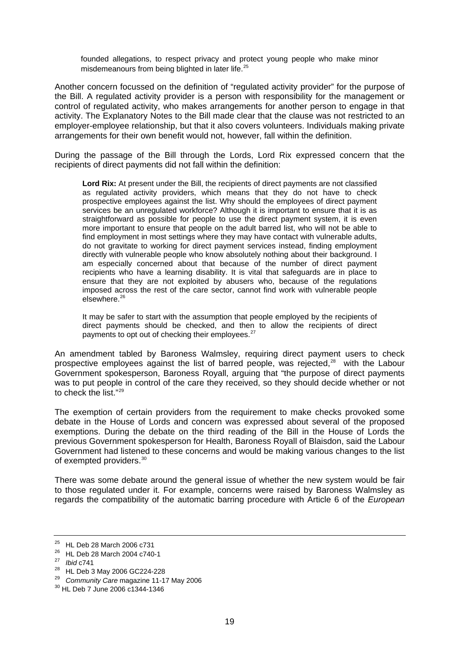founded allegations, to respect privacy and protect young people who make minor misdemeanours from being blighted in later life.<sup>[25](#page-18-0)</sup>

Another concern focussed on the definition of "regulated activity provider" for the purpose of the Bill. A regulated activity provider is a person with responsibility for the management or control of regulated activity, who makes arrangements for another person to engage in that activity. The Explanatory Notes to the Bill made clear that the clause was not restricted to an employer-employee relationship, but that it also covers volunteers. Individuals making private arrangements for their own benefit would not, however, fall within the definition.

During the passage of the Bill through the Lords, Lord Rix expressed concern that the recipients of direct payments did not fall within the definition:

**Lord Rix:** At present under the Bill, the recipients of direct payments are not classified as regulated activity providers, which means that they do not have to check prospective employees against the list. Why should the employees of direct payment services be an unregulated workforce? Although it is important to ensure that it is as straightforward as possible for people to use the direct payment system, it is even more important to ensure that people on the adult barred list, who will not be able to find employment in most settings where they may have contact with vulnerable adults, do not gravitate to working for direct payment services instead, finding employment directly with vulnerable people who know absolutely nothing about their background. I am especially concerned about that because of the number of direct payment recipients who have a learning disability. It is vital that safeguards are in place to ensure that they are not exploited by abusers who, because of the regulations imposed across the rest of the care sector, cannot find work with vulnerable people elsewhere.<sup>[26](#page-18-1)</sup>

It may be safer to start with the assumption that people employed by the recipients of direct payments should be checked, and then to allow the recipients of direct payments to opt out of checking their employees.<sup>[27](#page-18-2)</sup>

An amendment tabled by Baroness Walmsley, requiring direct payment users to check prospective employees against the list of barred people, was rejected, $28$  with the Labour Government spokesperson, Baroness Royall, arguing that "the purpose of direct payments was to put people in control of the care they received, so they should decide whether or not to check the list."[29](#page-18-4)

The exemption of certain providers from the requirement to make checks provoked some debate in the House of Lords and concern was expressed about several of the proposed exemptions. During the debate on the third reading of the Bill in the House of Lords the previous Government spokesperson for Health, Baroness Royall of Blaisdon, said the Labour Government had listened to these concerns and would be making various changes to the list of exempted providers.<sup>[30](#page-18-5)</sup>

There was some debate around the general issue of whether the new system would be fair to those regulated under it. For example, concerns were raised by Baroness Walmsley as regards the compatibility of the automatic barring procedure with Article 6 of the *European* 

<span id="page-18-0"></span><sup>25</sup> HL Deb 28 March 2006 c731

<span id="page-18-1"></span> $^{26}$  HL Deb 28 March 2004 c740-1<br> $^{27}$  Ibid c741

<span id="page-18-3"></span><span id="page-18-2"></span><sup>&</sup>lt;sup>28</sup> HL Deb 3 May 2006 GC224-228

<span id="page-18-4"></span><sup>&</sup>lt;sup>29</sup> Community Care magazine 11-17 May 2006<br><sup>30</sup> HL Deb 7 June 2006 c1344-1346

<span id="page-18-5"></span>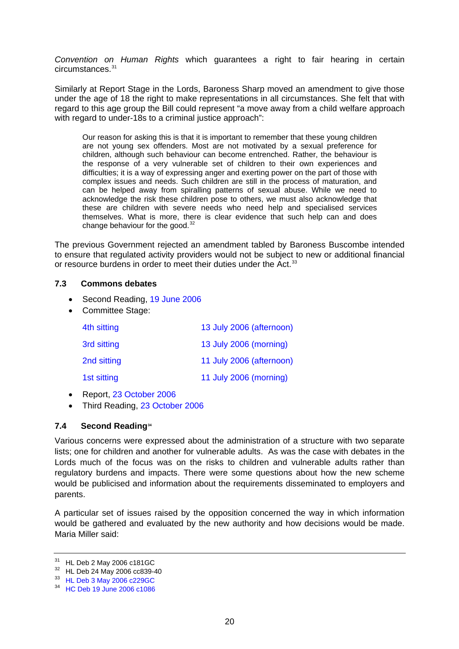<span id="page-19-0"></span>*Convention on Human Rights* which guarantees a right to fair hearing in certain circumstances.<sup>[31](#page-19-1)</sup>

Similarly at Report Stage in the Lords, Baroness Sharp moved an amendment to give those under the age of 18 the right to make representations in all circumstances. She felt that with regard to this age group the Bill could represent "a move away from a child welfare approach with regard to under-18s to a criminal justice approach":

Our reason for asking this is that it is important to remember that these young children are not young sex offenders. Most are not motivated by a sexual preference for children, although such behaviour can become entrenched. Rather, the behaviour is the response of a very vulnerable set of children to their own experiences and difficulties; it is a way of expressing anger and exerting power on the part of those with complex issues and needs. Such children are still in the process of maturation, and can be helped away from spiralling patterns of sexual abuse. While we need to acknowledge the risk these children pose to others, we must also acknowledge that these are children with severe needs who need help and specialised services themselves. What is more, there is clear evidence that such help can and does change behaviour for the good. $32$ 

The previous Government rejected an amendment tabled by Baroness Buscombe intended to ensure that regulated activity providers would not be subject to new or additional financial or resource burdens in order to meet their duties under the Act.<sup>[33](#page-19-3)</sup>

#### **7.3 Commons debates**

- Second Reading, [19 June 2006](http://pubs1.tso.parliament.uk/pa/cm200506/cmhansrd/vo060619/debtext/0606198000001)
- Committee Stage:

| 4th sitting | 13 July 2006 (afternoon) |
|-------------|--------------------------|
| 3rd sitting | 13 July 2006 (morning)   |
| 2nd sitting | 11 July 2006 (afternoon) |
| 1st sitting | 11 July 2006 (morning)   |

- Report, [23 October 2006](http://www.publications.parliament.uk/pa/cm200506/cmhansrd/vo061023/debtext/61023-0004.htm)
- Third Reading, [23 October 2006](http://www.publications.parliament.uk/pa/cm200506/cmhansrd/vo061023/debtext/61023-0024.htm)

# **7.4 Second Reading[34](#page-19-4)**

Various concerns were expressed about the administration of a structure with two separate lists; one for children and another for vulnerable adults. As was the case with debates in the Lords much of the focus was on the risks to children and vulnerable adults rather than regulatory burdens and impacts. There were some questions about how the new scheme would be publicised and information about the requirements disseminated to employers and parents.

A particular set of issues raised by the opposition concerned the way in which information would be gathered and evaluated by the new authority and how decisions would be made. Maria Miller said:

<span id="page-19-1"></span><sup>31</sup> HL Deb 2 May 2006 c181GC

<span id="page-19-2"></span><sup>32</sup> HL Deb 24 May 2006 cc839-40

<span id="page-19-3"></span><sup>33</sup> [HL Deb 3 May 2006 c229GC](http://pubs1.tso.parliament.uk/pa/ld200506/ldhansrd/vo060503/text/60503-35.htm)

<span id="page-19-4"></span><sup>34</sup> [HC Deb 19 June 2006 c1086](http://pubs1.tso.parliament.uk/pa/cm200506/cmhansrd/vo060619/debtext/60619-0006.htm#0606198000001)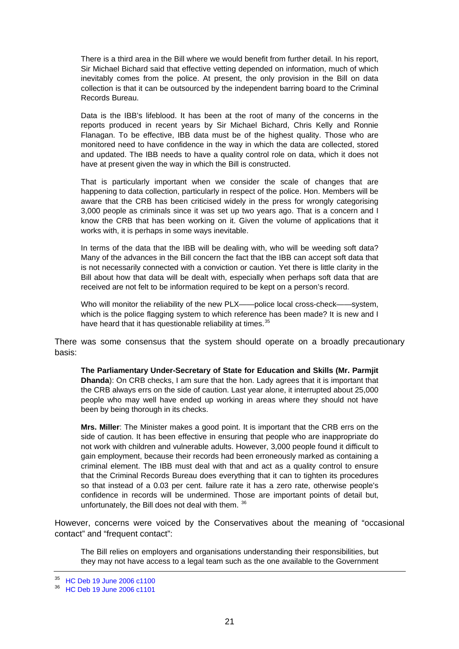There is a third area in the Bill where we would benefit from further detail. In his report, Sir Michael Bichard said that effective vetting depended on information, much of which inevitably comes from the police. At present, the only provision in the Bill on data collection is that it can be outsourced by the independent barring board to the Criminal Records Bureau.

Data is the IBB's lifeblood. It has been at the root of many of the concerns in the reports produced in recent years by Sir Michael Bichard, Chris Kelly and Ronnie Flanagan. To be effective, IBB data must be of the highest quality. Those who are monitored need to have confidence in the way in which the data are collected, stored and updated. The IBB needs to have a quality control role on data, which it does not have at present given the way in which the Bill is constructed.

That is particularly important when we consider the scale of changes that are happening to data collection, particularly in respect of the police. Hon. Members will be aware that the CRB has been criticised widely in the press for wrongly categorising 3,000 people as criminals since it was set up two years ago. That is a concern and I know the CRB that has been working on it. Given the volume of applications that it works with, it is perhaps in some ways inevitable.

In terms of the data that the IBB will be dealing with, who will be weeding soft data? Many of the advances in the Bill concern the fact that the IBB can accept soft data that is not necessarily connected with a conviction or caution. Yet there is little clarity in the Bill about how that data will be dealt with, especially when perhaps soft data that are received are not felt to be information required to be kept on a person's record.

Who will monitor the reliability of the new PLX——police local cross-check——system, which is the police flagging system to which reference has been made? It is new and I have heard that it has questionable reliability at times.<sup>[35](#page-20-0)</sup>

There was some consensus that the system should operate on a broadly precautionary basis:

**The Parliamentary Under-Secretary of State for Education and Skills (Mr. Parmjit Dhanda**): On CRB checks, I am sure that the hon. Lady agrees that it is important that the CRB always errs on the side of caution. Last year alone, it interrupted about 25,000 people who may well have ended up working in areas where they should not have been by being thorough in its checks.

**Mrs. Miller**: The Minister makes a good point. It is important that the CRB errs on the side of caution. It has been effective in ensuring that people who are inappropriate do not work with children and vulnerable adults. However, 3,000 people found it difficult to gain employment, because their records had been erroneously marked as containing a criminal element. The IBB must deal with that and act as a quality control to ensure that the Criminal Records Bureau does everything that it can to tighten its procedures so that instead of a 0.03 per cent. failure rate it has a zero rate, otherwise people's confidence in records will be undermined. Those are important points of detail but, unfortunately, the Bill does not deal with them. [36](#page-20-1)

However, concerns were voiced by the Conservatives about the meaning of "occasional contact" and "frequent contact":

The Bill relies on employers and organisations understanding their responsibilities, but they may not have access to a legal team such as the one available to the Government

<span id="page-20-0"></span><sup>35</sup> [HC Deb 19 June 2006 c1100](http://pubs1.tso.parliament.uk/pa/cm200506/cmhansrd/vo060619/debtext/60619-0008.htm)

<span id="page-20-1"></span><sup>36</sup> [HC Deb 19 June 2006 c1101](http://pubs1.tso.parliament.uk/pa/cm200506/cmhansrd/vo060619/debtext/60619-0009.htm)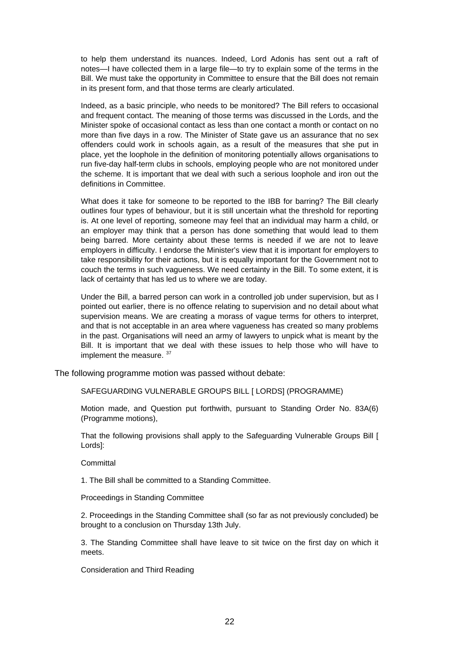to help them understand its nuances. Indeed, Lord Adonis has sent out a raft of notes—I have collected them in a large file—to try to explain some of the terms in the Bill. We must take the opportunity in Committee to ensure that the Bill does not remain in its present form, and that those terms are clearly articulated.

Indeed, as a basic principle, who needs to be monitored? The Bill refers to occasional and frequent contact. The meaning of those terms was discussed in the Lords, and the Minister spoke of occasional contact as less than one contact a month or contact on no more than five days in a row. The Minister of State gave us an assurance that no sex offenders could work in schools again, as a result of the measures that she put in place, yet the loophole in the definition of monitoring potentially allows organisations to run five-day half-term clubs in schools, employing people who are not monitored under the scheme. It is important that we deal with such a serious loophole and iron out the definitions in Committee.

What does it take for someone to be reported to the IBB for barring? The Bill clearly outlines four types of behaviour, but it is still uncertain what the threshold for reporting is. At one level of reporting, someone may feel that an individual may harm a child, or an employer may think that a person has done something that would lead to them being barred. More certainty about these terms is needed if we are not to leave employers in difficulty. I endorse the Minister's view that it is important for employers to take responsibility for their actions, but it is equally important for the Government not to couch the terms in such vagueness. We need certainty in the Bill. To some extent, it is lack of certainty that has led us to where we are today.

Under the Bill, a barred person can work in a controlled job under supervision, but as I pointed out earlier, there is no offence relating to supervision and no detail about what supervision means. We are creating a morass of vague terms for others to interpret, and that is not acceptable in an area where vagueness has created so many problems in the past. Organisations will need an army of lawyers to unpick what is meant by the Bill. It is important that we deal with these issues to help those who will have to implement the measure. [37](#page-21-0)

The following programme motion was passed without debate:

SAFEGUARDING VULNERABLE GROUPS BILL [ LORDS] (PROGRAMME)

Motion made, and Question put forthwith, pursuant to Standing Order No. 83A(6) (Programme motions),

That the following provisions shall apply to the Safeguarding Vulnerable Groups Bill [ Lords]:

**Committal** 

1. The Bill shall be committed to a Standing Committee.

Proceedings in Standing Committee

2. Proceedings in the Standing Committee shall (so far as not previously concluded) be brought to a conclusion on Thursday 13th July.

3. The Standing Committee shall have leave to sit twice on the first day on which it meets.

<span id="page-21-0"></span>Consideration and Third Reading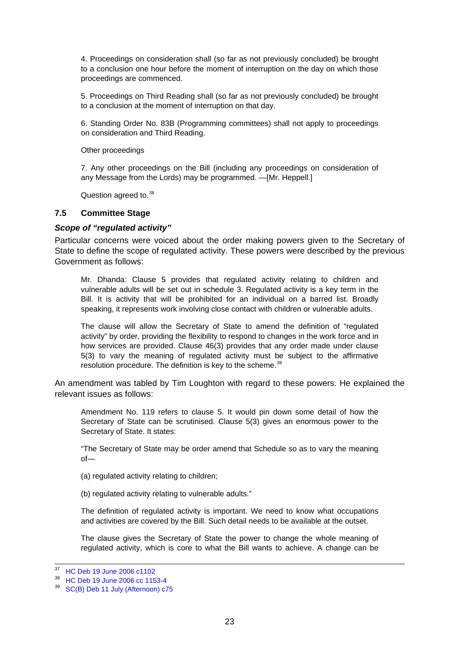<span id="page-22-0"></span>4. Proceedings on consideration shall (so far as not previously concluded) be brought to a conclusion one hour before the moment of interruption on the day on which those proceedings are commenced.

5. Proceedings on Third Reading shall (so far as not previously concluded) be brought to a conclusion at the moment of interruption on that day.

6. Standing Order No. 83B (Programming committees) shall not apply to proceedings on consideration and Third Reading.

Other proceedings

7. Any other proceedings on the Bill (including any proceedings on consideration of any Message from the Lords) may be programmed. —[Mr. Heppell.]

Question agreed to.<sup>[38](#page-22-1)</sup>

#### **7.5 Committee Stage**

#### *Scope of "regulated activity"*

Particular concerns were voiced about the order making powers given to the Secretary of State to define the scope of regulated activity. These powers were described by the previous Government as follows:

Mr. Dhanda: Clause 5 provides that regulated activity relating to children and vulnerable adults will be set out in schedule 3. Regulated activity is a key term in the Bill. It is activity that will be prohibited for an individual on a barred list. Broadly speaking, it represents work involving close contact with children or vulnerable adults.

The clause will allow the Secretary of State to amend the definition of "regulated activity" by order, providing the flexibility to respond to changes in the work force and in how services are provided. Clause 46(3) provides that any order made under clause 5(3) to vary the meaning of regulated activity must be subject to the affirmative resolution procedure. The definition is key to the scheme.<sup>[39](#page-22-2)</sup>

An amendment was tabled by Tim Loughton with regard to these powers. He explained the relevant issues as follows:

Amendment No. 119 refers to clause 5. It would pin down some detail of how the Secretary of State can be scrutinised. Clause 5(3) gives an enormous power to the Secretary of State. It states:

"The Secretary of State may be order amend that Schedule so as to vary the meaning of—

(a) regulated activity relating to children;

(b) regulated activity relating to vulnerable adults."

The definition of regulated activity is important. We need to know what occupations and activities are covered by the Bill. Such detail needs to be available at the outset.

The clause gives the Secretary of State the power to change the whole meaning of regulated activity, which is core to what the Bill wants to achieve. A change can be

<sup>37</sup> [HC Deb 19 June 2006 c1102](http://pubs1.tso.parliament.uk/pa/cm200506/cmhansrd/vo060619/debtext/60619-0009.htm)

<span id="page-22-1"></span><sup>38</sup> [HC Deb 19 June 2006 cc 1153-4](http://pubs1.tso.parliament.uk/pa/cm200506/cmhansrd/vo060619/debtext/60619-0017.htm)

<span id="page-22-2"></span><sup>39</sup> [SC\(B\) Deb 11 July \(Afternoon\) c75](http://www.publications.parliament.uk/pa/cm200506/cmstand/b/st060711/pm/60711s07.htm)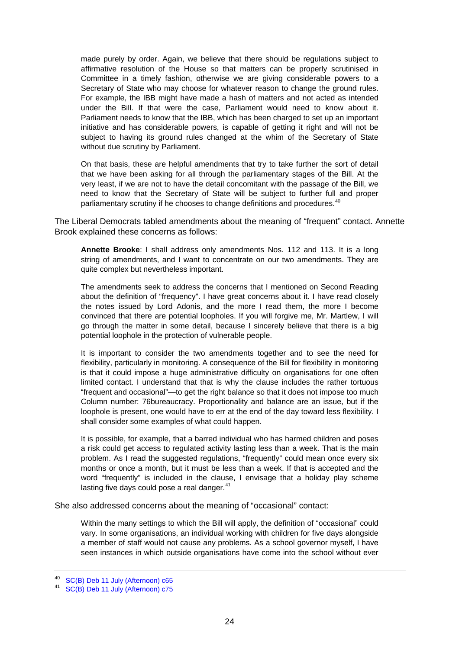made purely by order. Again, we believe that there should be regulations subject to affirmative resolution of the House so that matters can be properly scrutinised in Committee in a timely fashion, otherwise we are giving considerable powers to a Secretary of State who may choose for whatever reason to change the ground rules. For example, the IBB might have made a hash of matters and not acted as intended under the Bill. If that were the case, Parliament would need to know about it. Parliament needs to know that the IBB, which has been charged to set up an important initiative and has considerable powers, is capable of getting it right and will not be subject to having its ground rules changed at the whim of the Secretary of State without due scrutiny by Parliament.

On that basis, these are helpful amendments that try to take further the sort of detail that we have been asking for all through the parliamentary stages of the Bill. At the very least, if we are not to have the detail concomitant with the passage of the Bill, we need to know that the Secretary of State will be subject to further full and proper parliamentary scrutiny if he chooses to change definitions and procedures.<sup>[40](#page-23-0)</sup>

The Liberal Democrats tabled amendments about the meaning of "frequent" contact. Annette Brook explained these concerns as follows:

**Annette Brooke**: I shall address only amendments Nos. 112 and 113. It is a long string of amendments, and I want to concentrate on our two amendments. They are quite complex but nevertheless important.

The amendments seek to address the concerns that I mentioned on Second Reading about the definition of "frequency". I have great concerns about it. I have read closely the notes issued by Lord Adonis, and the more I read them, the more I become convinced that there are potential loopholes. If you will forgive me, Mr. Martlew, I will go through the matter in some detail, because I sincerely believe that there is a big potential loophole in the protection of vulnerable people.

It is important to consider the two amendments together and to see the need for flexibility, particularly in monitoring. A consequence of the Bill for flexibility in monitoring is that it could impose a huge administrative difficulty on organisations for one often limited contact. I understand that that is why the clause includes the rather tortuous "frequent and occasional"—to get the right balance so that it does not impose too much Column number: 76bureaucracy. Proportionality and balance are an issue, but if the loophole is present, one would have to err at the end of the day toward less flexibility. I shall consider some examples of what could happen.

It is possible, for example, that a barred individual who has harmed children and poses a risk could get access to regulated activity lasting less than a week. That is the main problem. As I read the suggested regulations, "frequently" could mean once every six months or once a month, but it must be less than a week. If that is accepted and the word "frequently" is included in the clause, I envisage that a holiday play scheme lasting five days could pose a real danger. $41$ 

She also addressed concerns about the meaning of "occasional" contact:

Within the many settings to which the Bill will apply, the definition of "occasional" could vary. In some organisations, an individual working with children for five days alongside a member of staff would not cause any problems. As a school governor myself, I have seen instances in which outside organisations have come into the school without ever

<span id="page-23-0"></span><sup>40</sup> [SC\(B\) Deb 11 July \(Afternoon\) c65](http://www.publications.parliament.uk/pa/cm200506/cmstand/b/st060711/pm/60711s05.htm)

<span id="page-23-1"></span><sup>41</sup> [SC\(B\) Deb 11 July \(Afternoon\) c75](http://www.publications.parliament.uk/pa/cm200506/cmstand/b/st060711/pm/60711s07.htm)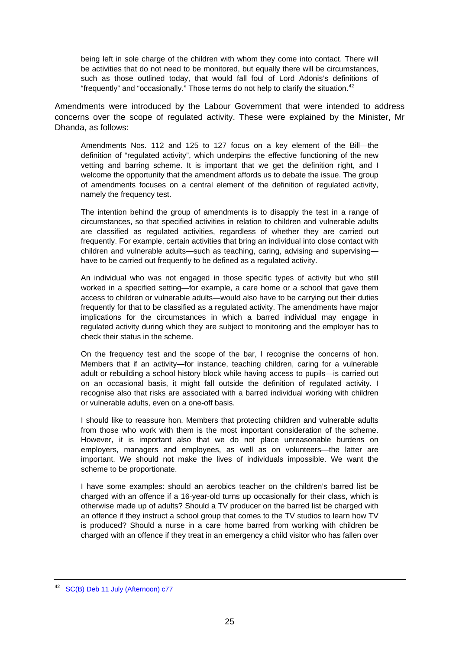being left in sole charge of the children with whom they come into contact. There will be activities that do not need to be monitored, but equally there will be circumstances, such as those outlined today, that would fall foul of Lord Adonis's definitions of "frequently" and "occasionally." Those terms do not help to clarify the situation. $42$ 

Amendments were introduced by the Labour Government that were intended to address concerns over the scope of regulated activity. These were explained by the Minister, Mr Dhanda, as follows:

Amendments Nos. 112 and 125 to 127 focus on a key element of the Bill—the definition of "regulated activity", which underpins the effective functioning of the new vetting and barring scheme. It is important that we get the definition right, and I welcome the opportunity that the amendment affords us to debate the issue. The group of amendments focuses on a central element of the definition of regulated activity, namely the frequency test.

The intention behind the group of amendments is to disapply the test in a range of circumstances, so that specified activities in relation to children and vulnerable adults are classified as regulated activities, regardless of whether they are carried out frequently. For example, certain activities that bring an individual into close contact with children and vulnerable adults—such as teaching, caring, advising and supervising have to be carried out frequently to be defined as a regulated activity.

An individual who was not engaged in those specific types of activity but who still worked in a specified setting—for example, a care home or a school that gave them access to children or vulnerable adults—would also have to be carrying out their duties frequently for that to be classified as a regulated activity. The amendments have major implications for the circumstances in which a barred individual may engage in regulated activity during which they are subject to monitoring and the employer has to check their status in the scheme.

On the frequency test and the scope of the bar, I recognise the concerns of hon. Members that if an activity—for instance, teaching children, caring for a vulnerable adult or rebuilding a school history block while having access to pupils—is carried out on an occasional basis, it might fall outside the definition of regulated activity. I recognise also that risks are associated with a barred individual working with children or vulnerable adults, even on a one-off basis.

I should like to reassure hon. Members that protecting children and vulnerable adults from those who work with them is the most important consideration of the scheme. However, it is important also that we do not place unreasonable burdens on employers, managers and employees, as well as on volunteers—the latter are important. We should not make the lives of individuals impossible. We want the scheme to be proportionate.

I have some examples: should an aerobics teacher on the children's barred list be charged with an offence if a 16-year-old turns up occasionally for their class, which is otherwise made up of adults? Should a TV producer on the barred list be charged with an offence if they instruct a school group that comes to the TV studios to learn how TV is produced? Should a nurse in a care home barred from working with children be charged with an offence if they treat in an emergency a child visitor who has fallen over

<span id="page-24-0"></span><sup>42</sup> [SC\(B\) Deb 11 July \(Afternoon\) c77](http://www.publications.parliament.uk/pa/cm200506/cmstand/b/st060711/pm/60711s07.htm)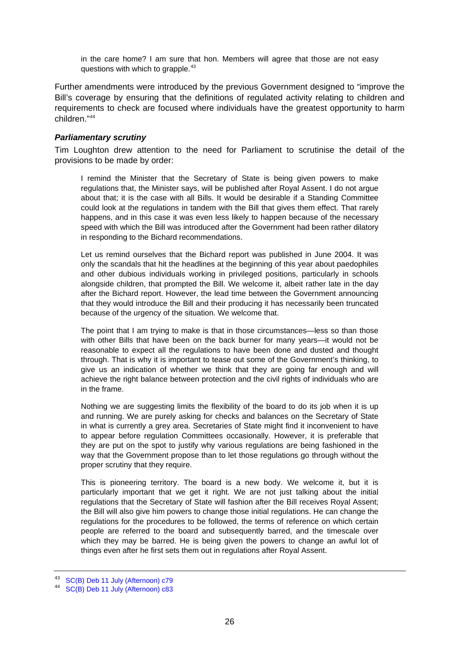<span id="page-25-0"></span>in the care home? I am sure that hon. Members will agree that those are not easy questions with which to grapple.<sup>[43](#page-25-1)</sup>

Further amendments were introduced by the previous Government designed to "improve the Bill's coverage by ensuring that the definitions of regulated activity relating to children and requirements to check are focused where individuals have the greatest opportunity to harm children."[44](#page-25-2)

#### *Parliamentary scrutiny*

Tim Loughton drew attention to the need for Parliament to scrutinise the detail of the provisions to be made by order:

I remind the Minister that the Secretary of State is being given powers to make regulations that, the Minister says, will be published after Royal Assent. I do not argue about that; it is the case with all Bills. It would be desirable if a Standing Committee could look at the regulations in tandem with the Bill that gives them effect. That rarely happens, and in this case it was even less likely to happen because of the necessary speed with which the Bill was introduced after the Government had been rather dilatory in responding to the Bichard recommendations.

Let us remind ourselves that the Bichard report was published in June 2004. It was only the scandals that hit the headlines at the beginning of this year about paedophiles and other dubious individuals working in privileged positions, particularly in schools alongside children, that prompted the Bill. We welcome it, albeit rather late in the day after the Bichard report. However, the lead time between the Government announcing that they would introduce the Bill and their producing it has necessarily been truncated because of the urgency of the situation. We welcome that.

The point that I am trying to make is that in those circumstances—less so than those with other Bills that have been on the back burner for many years—it would not be reasonable to expect all the regulations to have been done and dusted and thought through. That is why it is important to tease out some of the Government's thinking, to give us an indication of whether we think that they are going far enough and will achieve the right balance between protection and the civil rights of individuals who are in the frame.

Nothing we are suggesting limits the flexibility of the board to do its job when it is up and running. We are purely asking for checks and balances on the Secretary of State in what is currently a grey area. Secretaries of State might find it inconvenient to have to appear before regulation Committees occasionally. However, it is preferable that they are put on the spot to justify why various regulations are being fashioned in the way that the Government propose than to let those regulations go through without the proper scrutiny that they require.

This is pioneering territory. The board is a new body. We welcome it, but it is particularly important that we get it right. We are not just talking about the initial regulations that the Secretary of State will fashion after the Bill receives Royal Assent; the Bill will also give him powers to change those initial regulations. He can change the regulations for the procedures to be followed, the terms of reference on which certain people are referred to the board and subsequently barred, and the timescale over which they may be barred. He is being given the powers to change an awful lot of things even after he first sets them out in regulations after Royal Assent.

<span id="page-25-1"></span><sup>43</sup> [SC\(B\) Deb 11 July \(Afternoon\) c79](http://www.publications.parliament.uk/pa/cm200506/cmstand/b/st060711/pm/60711s08.htm)

<span id="page-25-2"></span><sup>44</sup> [SC\(B\) Deb 11 July \(Afternoon\) c83](http://www.publications.parliament.uk/pa/cm200506/cmstand/b/st060711/pm/60711s09.htm)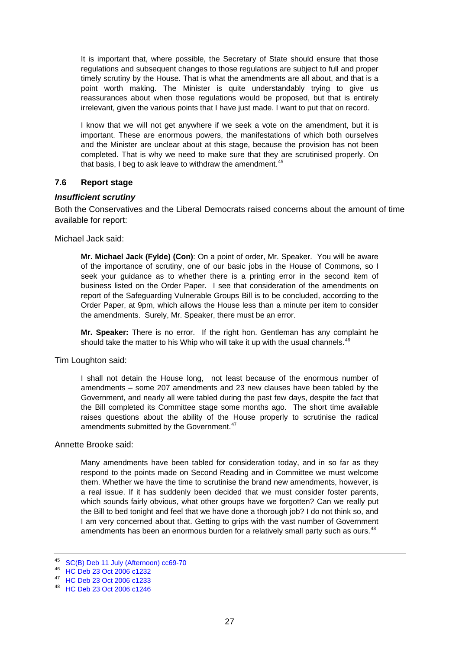<span id="page-26-0"></span>It is important that, where possible, the Secretary of State should ensure that those regulations and subsequent changes to those regulations are subject to full and proper timely scrutiny by the House. That is what the amendments are all about, and that is a point worth making. The Minister is quite understandably trying to give us reassurances about when those regulations would be proposed, but that is entirely irrelevant, given the various points that I have just made. I want to put that on record.

I know that we will not get anywhere if we seek a vote on the amendment, but it is important. These are enormous powers, the manifestations of which both ourselves and the Minister are unclear about at this stage, because the provision has not been completed. That is why we need to make sure that they are scrutinised properly. On that basis, I beg to ask leave to withdraw the amendment. $45$ 

# **7.6 Report stage**

#### *Insufficient scrutiny*

Both the Conservatives and the Liberal Democrats raised concerns about the amount of time available for report:

Michael Jack said:

**Mr. Michael Jack (Fylde) (Con)**: On a point of order, Mr. Speaker. You will be aware of the importance of scrutiny, one of our basic jobs in the House of Commons, so I seek your guidance as to whether there is a printing error in the second item of business listed on the Order Paper. I see that consideration of the amendments on report of the Safeguarding Vulnerable Groups Bill is to be concluded, according to the Order Paper, at 9pm, which allows the House less than a minute per item to consider the amendments. Surely, Mr. Speaker, there must be an error.

**Mr. Speaker:** There is no error. If the right hon. Gentleman has any complaint he should take the matter to his Whip who will take it up with the usual channels.  $46$ 

Tim Loughton said:

I shall not detain the House long, not least because of the enormous number of amendments – some 207 amendments and 23 new clauses have been tabled by the Government, and nearly all were tabled during the past few days, despite the fact that the Bill completed its Committee stage some months ago. The short time available raises questions about the ability of the House properly to scrutinise the radical amendments submitted by the Government.<sup>[47](#page-26-3)</sup>

#### Annette Brooke said:

Many amendments have been tabled for consideration today, and in so far as they respond to the points made on Second Reading and in Committee we must welcome them. Whether we have the time to scrutinise the brand new amendments, however, is a real issue. If it has suddenly been decided that we must consider foster parents, which sounds fairly obvious, what other groups have we forgotten? Can we really put the Bill to bed tonight and feel that we have done a thorough job? I do not think so, and I am very concerned about that. Getting to grips with the vast number of Government amendments has been an enormous burden for a relatively small party such as ours.<sup>[48](#page-26-4)</sup>

<span id="page-26-1"></span><sup>45</sup> [SC\(B\) Deb 11 July \(Afternoon\) cc69-70](http://www.publications.parliament.uk/pa/cm200506/cmstand/b/st060711/pm/60711s06.htm)

<span id="page-26-2"></span><sup>46</sup> [HC Deb 23 Oct 2006 c1232](http://www.publications.parliament.uk/pa/cm200506/cmhansrd/vo061023/debtext/61023-0004.htm)

<span id="page-26-3"></span><sup>47</sup> [HC Deb 23 Oct 2006 c1233](http://www.publications.parliament.uk/pa/cm200506/cmhansrd/vo061023/debtext/61023-0004.htm)

<span id="page-26-4"></span><sup>48</sup> [HC Deb 23 Oct 2006 c1246](http://www.publications.parliament.uk/pa/cm200506/cmhansrd/vo061023/debtext/61023-0006.htm)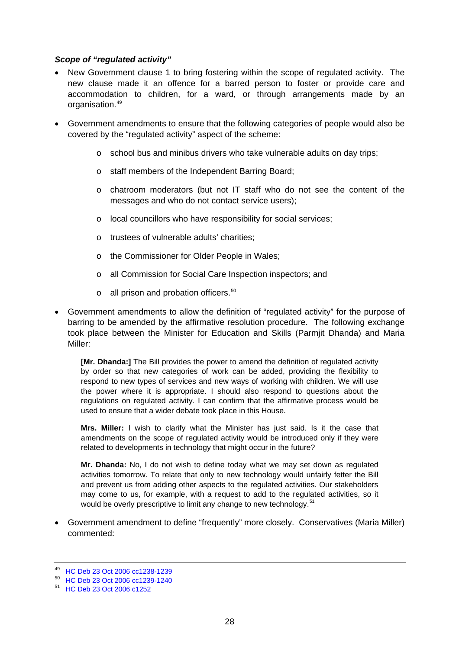# <span id="page-27-0"></span>*Scope of "regulated activity"*

- New Government clause 1 to bring fostering within the scope of regulated activity. The new clause made it an offence for a barred person to foster or provide care and accommodation to children, for a ward, or through arrangements made by an organisation.<sup>[49](#page-27-1)</sup>
- Government amendments to ensure that the following categories of people would also be covered by the "regulated activity" aspect of the scheme:
	- $\circ$  school bus and minibus drivers who take vulnerable adults on day trips;
	- o staff members of the Independent Barring Board;
	- o chatroom moderators (but not IT staff who do not see the content of the messages and who do not contact service users);
	- o local councillors who have responsibility for social services;
	- o trustees of vulnerable adults' charities;
	- o the Commissioner for Older People in Wales;
	- o all Commission for Social Care Inspection inspectors; and
	- $\circ$  all prison and probation officers.<sup>[50](#page-27-2)</sup>
- Government amendments to allow the definition of "regulated activity" for the purpose of barring to be amended by the affirmative resolution procedure. The following exchange took place between the Minister for Education and Skills (Parmjit Dhanda) and Maria Miller:

**[Mr. Dhanda:]** The Bill provides the power to amend the definition of regulated activity by order so that new categories of work can be added, providing the flexibility to respond to new types of services and new ways of working with children. We will use the power where it is appropriate. I should also respond to questions about the regulations on regulated activity. I can confirm that the affirmative process would be used to ensure that a wider debate took place in this House.

**Mrs. Miller:** I wish to clarify what the Minister has just said. Is it the case that amendments on the scope of regulated activity would be introduced only if they were related to developments in technology that might occur in the future?

**Mr. Dhanda:** No, I do not wish to define today what we may set down as regulated activities tomorrow. To relate that only to new technology would unfairly fetter the Bill and prevent us from adding other aspects to the regulated activities. Our stakeholders may come to us, for example, with a request to add to the regulated activities, so it would be overly prescriptive to limit any change to new technology.<sup>[51](#page-27-3)</sup>

• Government amendment to define "frequently" more closely. Conservatives (Maria Miller) commented:

<sup>49</sup> [HC Deb 23 Oct 2006 cc1238-1239](http://www.publications.parliament.uk/pa/cm200506/cmhansrd/vo061023/debtext/61023-0005.htm)

<span id="page-27-2"></span><span id="page-27-1"></span><sup>50</sup> [HC Deb 23 Oct 2006 cc1239-1240](http://www.publications.parliament.uk/pa/cm200506/cmhansrd/vo061023/debtext/61023-0005.htm)

<span id="page-27-3"></span><sup>51</sup> [HC Deb 23 Oct 2006 c1252](http://www.publications.parliament.uk/pa/cm200506/cmhansrd/vo061023/debtext/61023-0007.htm)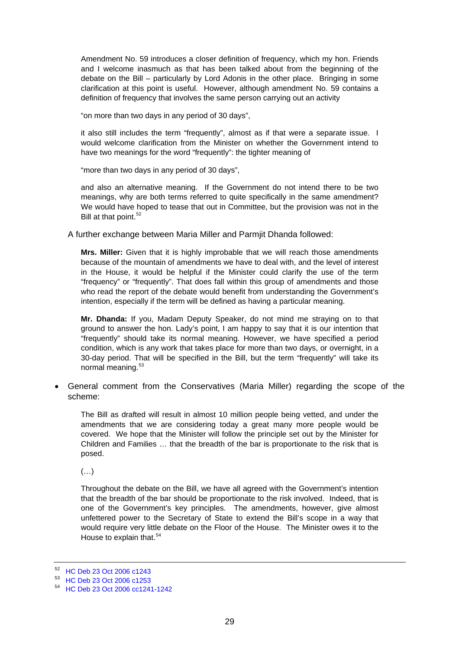Amendment No. 59 introduces a closer definition of frequency, which my hon. Friends and I welcome inasmuch as that has been talked about from the beginning of the debate on the Bill – particularly by Lord Adonis in the other place. Bringing in some clarification at this point is useful. However, although amendment No. 59 contains a definition of frequency that involves the same person carrying out an activity

"on more than two days in any period of 30 days",

it also still includes the term "frequently", almost as if that were a separate issue. I would welcome clarification from the Minister on whether the Government intend to have two meanings for the word "frequently": the tighter meaning of

"more than two days in any period of 30 days",

and also an alternative meaning. If the Government do not intend there to be two meanings, why are both terms referred to quite specifically in the same amendment? We would have hoped to tease that out in Committee, but the provision was not in the Bill at that point.  $52$ 

A further exchange between Maria Miller and Parmjit Dhanda followed:

**Mrs. Miller:** Given that it is highly improbable that we will reach those amendments because of the mountain of amendments we have to deal with, and the level of interest in the House, it would be helpful if the Minister could clarify the use of the term "frequency" or "frequently". That does fall within this group of amendments and those who read the report of the debate would benefit from understanding the Government's intention, especially if the term will be defined as having a particular meaning.

**Mr. Dhanda:** If you, Madam Deputy Speaker, do not mind me straying on to that ground to answer the hon. Lady's point, I am happy to say that it is our intention that "frequently" should take its normal meaning. However, we have specified a period condition, which is any work that takes place for more than two days, or overnight, in a 30-day period. That will be specified in the Bill, but the term "frequently" will take its normal meaning.[53](#page-28-1)

• General comment from the Conservatives (Maria Miller) regarding the scope of the scheme:

The Bill as drafted will result in almost 10 million people being vetted, and under the amendments that we are considering today a great many more people would be covered. We hope that the Minister will follow the principle set out by the Minister for Children and Families … that the breadth of the bar is proportionate to the risk that is posed.

 $(\ldots)$ 

Throughout the debate on the Bill, we have all agreed with the Government's intention that the breadth of the bar should be proportionate to the risk involved. Indeed, that is one of the Government's key principles. The amendments, however, give almost unfettered power to the Secretary of State to extend the Bill's scope in a way that would require very little debate on the Floor of the House. The Minister owes it to the House to explain that.<sup>[54](#page-28-2)</sup>

<span id="page-28-0"></span><sup>52</sup> [HC Deb 23 Oct 2006 c1243](http://www.publications.parliament.uk/pa/cm200506/cmhansrd/vo061023/debtext/61023-0005.htm)

<span id="page-28-1"></span><sup>53</sup> [HC Deb 23 Oct 2006 c1253](http://www.publications.parliament.uk/pa/cm200506/cmhansrd/vo061023/debtext/61023-0007.htm)

<span id="page-28-2"></span><sup>54</sup> [HC Deb 23 Oct 2006 cc1241-1242](http://www.publications.parliament.uk/pa/cm200506/cmhansrd/vo061023/debtext/61023-0005.htm)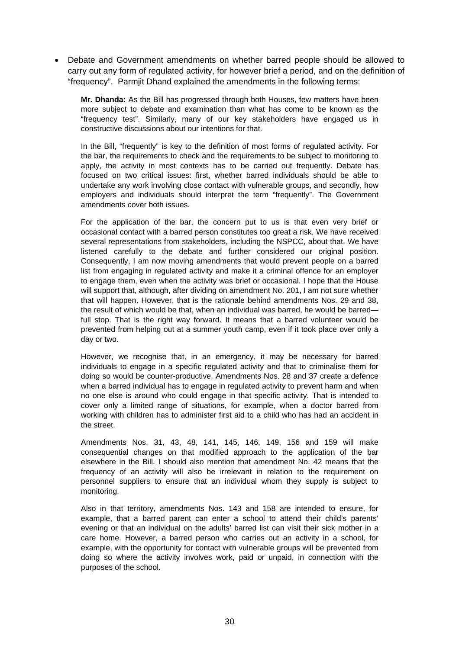• Debate and Government amendments on whether barred people should be allowed to carry out any form of regulated activity, for however brief a period, and on the definition of "frequency". Parmjit Dhand explained the amendments in the following terms:

**Mr. Dhanda:** As the Bill has progressed through both Houses, few matters have been more subject to debate and examination than what has come to be known as the "frequency test". Similarly, many of our key stakeholders have engaged us in constructive discussions about our intentions for that.

In the Bill, "frequently" is key to the definition of most forms of regulated activity. For the bar, the requirements to check and the requirements to be subject to monitoring to apply, the activity in most contexts has to be carried out frequently. Debate has focused on two critical issues: first, whether barred individuals should be able to undertake any work involving close contact with vulnerable groups, and secondly, how employers and individuals should interpret the term "frequently". The Government amendments cover both issues.

For the application of the bar, the concern put to us is that even very brief or occasional contact with a barred person constitutes too great a risk. We have received several representations from stakeholders, including the NSPCC, about that. We have listened carefully to the debate and further considered our original position. Consequently, I am now moving amendments that would prevent people on a barred list from engaging in regulated activity and make it a criminal offence for an employer to engage them, even when the activity was brief or occasional. I hope that the House will support that, although, after dividing on amendment No. 201, I am not sure whether that will happen. However, that is the rationale behind amendments Nos. 29 and 38, the result of which would be that, when an individual was barred, he would be barred full stop. That is the right way forward. It means that a barred volunteer would be prevented from helping out at a summer youth camp, even if it took place over only a day or two.

However, we recognise that, in an emergency, it may be necessary for barred individuals to engage in a specific regulated activity and that to criminalise them for doing so would be counter-productive. Amendments Nos. 28 and 37 create a defence when a barred individual has to engage in regulated activity to prevent harm and when no one else is around who could engage in that specific activity. That is intended to cover only a limited range of situations, for example, when a doctor barred from working with children has to administer first aid to a child who has had an accident in the street.

Amendments Nos. 31, 43, 48, 141, 145, 146, 149, 156 and 159 will make consequential changes on that modified approach to the application of the bar elsewhere in the Bill. I should also mention that amendment No. 42 means that the frequency of an activity will also be irrelevant in relation to the requirement on personnel suppliers to ensure that an individual whom they supply is subject to monitoring.

Also in that territory, amendments Nos. 143 and 158 are intended to ensure, for example, that a barred parent can enter a school to attend their child's parents' evening or that an individual on the adults' barred list can visit their sick mother in a care home. However, a barred person who carries out an activity in a school, for example, with the opportunity for contact with vulnerable groups will be prevented from doing so where the activity involves work, paid or unpaid, in connection with the purposes of the school.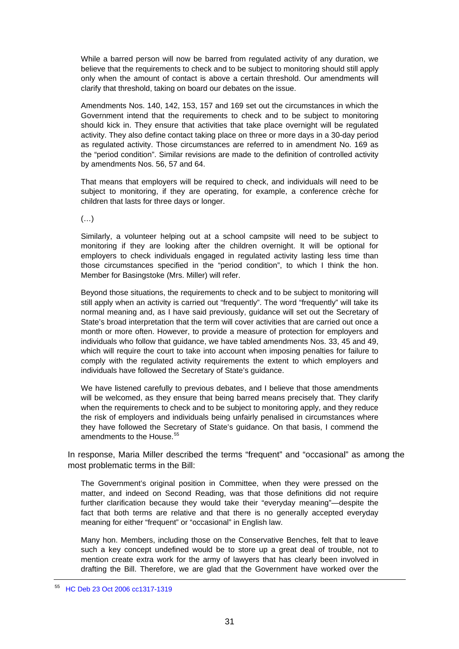While a barred person will now be barred from regulated activity of any duration, we believe that the requirements to check and to be subject to monitoring should still apply only when the amount of contact is above a certain threshold. Our amendments will clarify that threshold, taking on board our debates on the issue.

Amendments Nos. 140, 142, 153, 157 and 169 set out the circumstances in which the Government intend that the requirements to check and to be subject to monitoring should kick in. They ensure that activities that take place overnight will be regulated activity. They also define contact taking place on three or more days in a 30-day period as regulated activity. Those circumstances are referred to in amendment No. 169 as the "period condition". Similar revisions are made to the definition of controlled activity by amendments Nos. 56, 57 and 64.

That means that employers will be required to check, and individuals will need to be subject to monitoring, if they are operating, for example, a conference crèche for children that lasts for three days or longer.

(…)

Similarly, a volunteer helping out at a school campsite will need to be subject to monitoring if they are looking after the children overnight. It will be optional for employers to check individuals engaged in regulated activity lasting less time than those circumstances specified in the "period condition", to which I think the hon. Member for Basingstoke (Mrs. Miller) will refer.

Beyond those situations, the requirements to check and to be subject to monitoring will still apply when an activity is carried out "frequently". The word "frequently" will take its normal meaning and, as I have said previously, guidance will set out the Secretary of State's broad interpretation that the term will cover activities that are carried out once a month or more often. However, to provide a measure of protection for employers and individuals who follow that guidance, we have tabled amendments Nos. 33, 45 and 49, which will require the court to take into account when imposing penalties for failure to comply with the regulated activity requirements the extent to which employers and individuals have followed the Secretary of State's guidance.

We have listened carefully to previous debates, and I believe that those amendments will be welcomed, as they ensure that being barred means precisely that. They clarify when the requirements to check and to be subject to monitoring apply, and they reduce the risk of employers and individuals being unfairly penalised in circumstances where they have followed the Secretary of State's guidance. On that basis, I commend the amendments to the House.<sup>[55](#page-30-0)</sup>

In response, Maria Miller described the terms "frequent" and "occasional" as among the most problematic terms in the Bill:

The Government's original position in Committee, when they were pressed on the matter, and indeed on Second Reading, was that those definitions did not require further clarification because they would take their "everyday meaning"—despite the fact that both terms are relative and that there is no generally accepted everyday meaning for either "frequent" or "occasional" in English law.

Many hon. Members, including those on the Conservative Benches, felt that to leave such a key concept undefined would be to store up a great deal of trouble, not to mention create extra work for the army of lawyers that has clearly been involved in drafting the Bill. Therefore, we are glad that the Government have worked over the

<span id="page-30-0"></span><sup>55</sup> [HC Deb 23 Oct 2006 cc1317-1319](http://www.publications.parliament.uk/pa/cm200506/cmhansrd/vo061023/debtext/61023-0018.htm)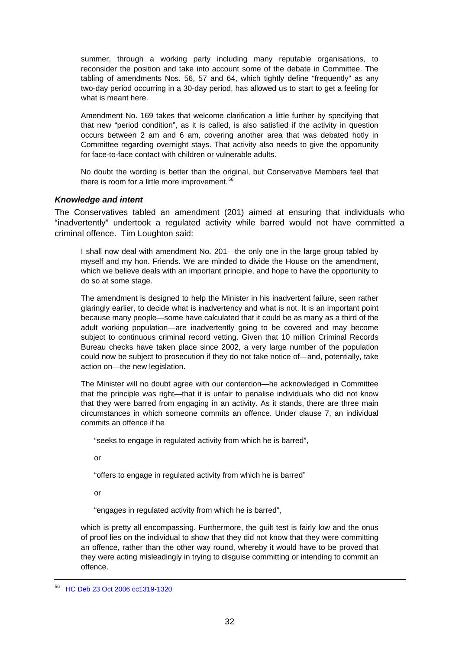<span id="page-31-0"></span>summer, through a working party including many reputable organisations, to reconsider the position and take into account some of the debate in Committee. The tabling of amendments Nos. 56, 57 and 64, which tightly define "frequently" as any two-day period occurring in a 30-day period, has allowed us to start to get a feeling for what is meant here.

Amendment No. 169 takes that welcome clarification a little further by specifying that that new "period condition", as it is called, is also satisfied if the activity in question occurs between 2 am and 6 am, covering another area that was debated hotly in Committee regarding overnight stays. That activity also needs to give the opportunity for face-to-face contact with children or vulnerable adults.

No doubt the wording is better than the original, but Conservative Members feel that there is room for a little more improvement.<sup>[56](#page-31-1)</sup>

# *Knowledge and intent*

The Conservatives tabled an amendment (201) aimed at ensuring that individuals who "inadvertently" undertook a regulated activity while barred would not have committed a criminal offence. Tim Loughton said:

I shall now deal with amendment No. 201—the only one in the large group tabled by myself and my hon. Friends. We are minded to divide the House on the amendment, which we believe deals with an important principle, and hope to have the opportunity to do so at some stage.

The amendment is designed to help the Minister in his inadvertent failure, seen rather glaringly earlier, to decide what is inadvertency and what is not. It is an important point because many people—some have calculated that it could be as many as a third of the adult working population—are inadvertently going to be covered and may become subject to continuous criminal record vetting. Given that 10 million Criminal Records Bureau checks have taken place since 2002, a very large number of the population could now be subject to prosecution if they do not take notice of—and, potentially, take action on—the new legislation.

The Minister will no doubt agree with our contention—he acknowledged in Committee that the principle was right—that it is unfair to penalise individuals who did not know that they were barred from engaging in an activity. As it stands, there are three main circumstances in which someone commits an offence. Under clause 7, an individual commits an offence if he

"seeks to engage in regulated activity from which he is barred",

or

"offers to engage in regulated activity from which he is barred"

or

"engages in regulated activity from which he is barred",

which is pretty all encompassing. Furthermore, the guilt test is fairly low and the onus of proof lies on the individual to show that they did not know that they were committing an offence, rather than the other way round, whereby it would have to be proved that they were acting misleadingly in trying to disguise committing or intending to commit an offence.

<span id="page-31-1"></span><sup>56</sup> [HC Deb 23 Oct 2006 cc1319-1320](http://www.publications.parliament.uk/pa/cm200506/cmhansrd/vo061023/debtext/61023-0018.htm)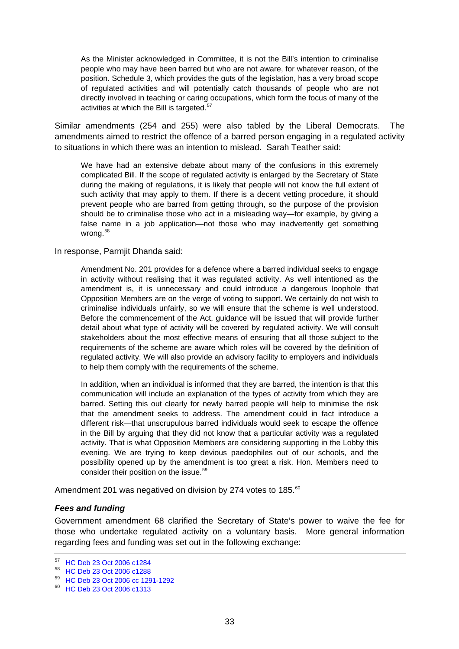<span id="page-32-0"></span>As the Minister acknowledged in Committee, it is not the Bill's intention to criminalise people who may have been barred but who are not aware, for whatever reason, of the position. Schedule 3, which provides the guts of the legislation, has a very broad scope of regulated activities and will potentially catch thousands of people who are not directly involved in teaching or caring occupations, which form the focus of many of the activities at which the Bill is targeted.<sup>[57](#page-32-1)</sup>

Similar amendments (254 and 255) were also tabled by the Liberal Democrats. The amendments aimed to restrict the offence of a barred person engaging in a regulated activity to situations in which there was an intention to mislead. Sarah Teather said:

We have had an extensive debate about many of the confusions in this extremely complicated Bill. If the scope of regulated activity is enlarged by the Secretary of State during the making of regulations, it is likely that people will not know the full extent of such activity that may apply to them. If there is a decent vetting procedure, it should prevent people who are barred from getting through, so the purpose of the provision should be to criminalise those who act in a misleading way—for example, by giving a false name in a job application—not those who may inadvertently get something wrong.<sup>[58](#page-32-2)</sup>

#### In response, Parmjit Dhanda said:

Amendment No. 201 provides for a defence where a barred individual seeks to engage in activity without realising that it was regulated activity. As well intentioned as the amendment is, it is unnecessary and could introduce a dangerous loophole that Opposition Members are on the verge of voting to support. We certainly do not wish to criminalise individuals unfairly, so we will ensure that the scheme is well understood. Before the commencement of the Act, guidance will be issued that will provide further detail about what type of activity will be covered by regulated activity. We will consult stakeholders about the most effective means of ensuring that all those subject to the requirements of the scheme are aware which roles will be covered by the definition of regulated activity. We will also provide an advisory facility to employers and individuals to help them comply with the requirements of the scheme.

In addition, when an individual is informed that they are barred, the intention is that this communication will include an explanation of the types of activity from which they are barred. Setting this out clearly for newly barred people will help to minimise the risk that the amendment seeks to address. The amendment could in fact introduce a different risk—that unscrupulous barred individuals would seek to escape the offence in the Bill by arguing that they did not know that a particular activity was a regulated activity. That is what Opposition Members are considering supporting in the Lobby this evening. We are trying to keep devious paedophiles out of our schools, and the possibility opened up by the amendment is too great a risk. Hon. Members need to consider their position on the issue.<sup>[59](#page-32-3)</sup>

Amendment 201 was negatived on division by 274 votes to 185. $^{60}$  $^{60}$  $^{60}$ 

# *Fees and funding*

Government amendment 68 clarified the Secretary of State's power to waive the fee for those who undertake regulated activity on a voluntary basis. More general information regarding fees and funding was set out in the following exchange:

<span id="page-32-1"></span><sup>57</sup> [HC Deb 23 Oct 2006 c1284](http://www.publications.parliament.uk/pa/cm200506/cmhansrd/vo061023/debtext/61023-0012.htm)

<span id="page-32-2"></span><sup>58</sup> [HC Deb 23 Oct 2006 c1288](http://www.publications.parliament.uk/pa/cm200506/cmhansrd/vo061023/debtext/61023-0013.htm)

<span id="page-32-3"></span><sup>59</sup> [HC Deb 23 Oct 2006 cc 1291-1292](http://www.publications.parliament.uk/pa/cm200506/cmhansrd/vo061023/debtext/61023-0013.htm)

<span id="page-32-4"></span><sup>60</sup> [HC Deb 23 Oct 2006 c1313](http://www.publications.parliament.uk/pa/cm200506/cmhansrd/vo061023/debtext/61023-0017.htm)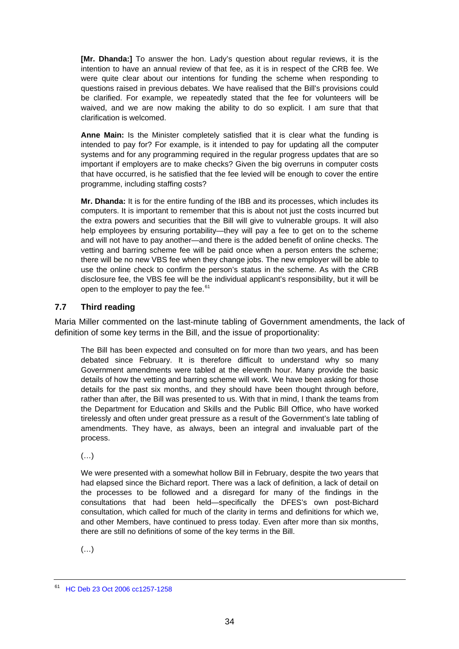<span id="page-33-0"></span>**[Mr. Dhanda:]** To answer the hon. Lady's question about regular reviews, it is the intention to have an annual review of that fee, as it is in respect of the CRB fee. We were quite clear about our intentions for funding the scheme when responding to questions raised in previous debates. We have realised that the Bill's provisions could be clarified. For example, we repeatedly stated that the fee for volunteers will be waived, and we are now making the ability to do so explicit. I am sure that that clarification is welcomed.

**Anne Main:** Is the Minister completely satisfied that it is clear what the funding is intended to pay for? For example, is it intended to pay for updating all the computer systems and for any programming required in the regular progress updates that are so important if employers are to make checks? Given the big overruns in computer costs that have occurred, is he satisfied that the fee levied will be enough to cover the entire programme, including staffing costs?

**Mr. Dhanda:** It is for the entire funding of the IBB and its processes, which includes its computers. It is important to remember that this is about not just the costs incurred but the extra powers and securities that the Bill will give to vulnerable groups. It will also help employees by ensuring portability—they will pay a fee to get on to the scheme and will not have to pay another—and there is the added benefit of online checks. The vetting and barring scheme fee will be paid once when a person enters the scheme; there will be no new VBS fee when they change jobs. The new employer will be able to use the online check to confirm the person's status in the scheme. As with the CRB disclosure fee, the VBS fee will be the individual applicant's responsibility, but it will be open to the employer to pay the fee. $61$ 

# **7.7 Third reading**

Maria Miller commented on the last-minute tabling of Government amendments, the lack of definition of some key terms in the Bill, and the issue of proportionality:

The Bill has been expected and consulted on for more than two years, and has been debated since February. It is therefore difficult to understand why so many Government amendments were tabled at the eleventh hour. Many provide the basic details of how the vetting and barring scheme will work. We have been asking for those details for the past six months, and they should have been thought through before, rather than after, the Bill was presented to us. With that in mind, I thank the teams from the Department for Education and Skills and the Public Bill Office, who have worked tirelessly and often under great pressure as a result of the Government's late tabling of amendments. They have, as always, been an integral and invaluable part of the process.

 $(\ldots)$ 

We were presented with a somewhat hollow Bill in February, despite the two years that had elapsed since the Bichard report. There was a lack of definition, a lack of detail on the processes to be followed and a disregard for many of the findings in the consultations that had been held—specifically the DFES's own post-Bichard consultation, which called for much of the clarity in terms and definitions for which we, and other Members, have continued to press today. Even after more than six months, there are still no definitions of some of the key terms in the Bill.

 $(\ldots)$ 

<span id="page-33-1"></span><sup>61</sup> [HC Deb 23 Oct 2006 cc1257-1258](http://www.publications.parliament.uk/pa/cm200506/cmhansrd/vo061023/debtext/61023-0008.htm)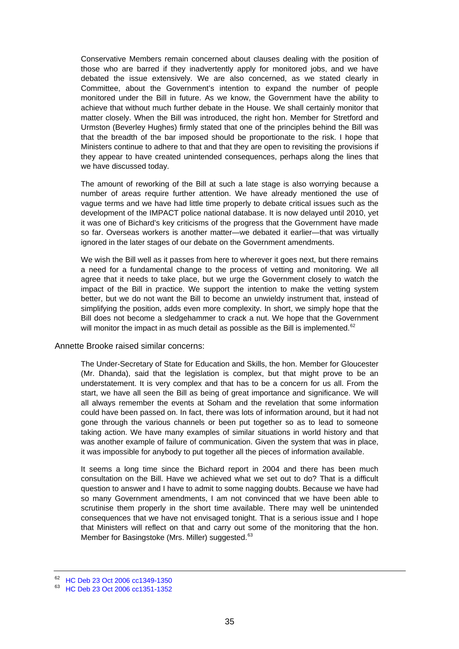Conservative Members remain concerned about clauses dealing with the position of those who are barred if they inadvertently apply for monitored jobs, and we have debated the issue extensively. We are also concerned, as we stated clearly in Committee, about the Government's intention to expand the number of people monitored under the Bill in future. As we know, the Government have the ability to achieve that without much further debate in the House. We shall certainly monitor that matter closely. When the Bill was introduced, the right hon. Member for Stretford and Urmston (Beverley Hughes) firmly stated that one of the principles behind the Bill was that the breadth of the bar imposed should be proportionate to the risk. I hope that Ministers continue to adhere to that and that they are open to revisiting the provisions if they appear to have created unintended consequences, perhaps along the lines that we have discussed today.

The amount of reworking of the Bill at such a late stage is also worrying because a number of areas require further attention. We have already mentioned the use of vague terms and we have had little time properly to debate critical issues such as the development of the IMPACT police national database. It is now delayed until 2010, yet it was one of Bichard's key criticisms of the progress that the Government have made so far. Overseas workers is another matter—we debated it earlier—that was virtually ignored in the later stages of our debate on the Government amendments.

We wish the Bill well as it passes from here to wherever it goes next, but there remains a need for a fundamental change to the process of vetting and monitoring. We all agree that it needs to take place, but we urge the Government closely to watch the impact of the Bill in practice. We support the intention to make the vetting system better, but we do not want the Bill to become an unwieldy instrument that, instead of simplifying the position, adds even more complexity. In short, we simply hope that the Bill does not become a sledgehammer to crack a nut. We hope that the Government will monitor the impact in as much detail as possible as the Bill is implemented. $62$ 

#### Annette Brooke raised similar concerns:

The Under-Secretary of State for Education and Skills, the hon. Member for Gloucester (Mr. Dhanda), said that the legislation is complex, but that might prove to be an understatement. It is very complex and that has to be a concern for us all. From the start, we have all seen the Bill as being of great importance and significance. We will all always remember the events at Soham and the revelation that some information could have been passed on. In fact, there was lots of information around, but it had not gone through the various channels or been put together so as to lead to someone taking action. We have many examples of similar situations in world history and that was another example of failure of communication. Given the system that was in place, it was impossible for anybody to put together all the pieces of information available.

It seems a long time since the Bichard report in 2004 and there has been much consultation on the Bill. Have we achieved what we set out to do? That is a difficult question to answer and I have to admit to some nagging doubts. Because we have had so many Government amendments, I am not convinced that we have been able to scrutinise them properly in the short time available. There may well be unintended consequences that we have not envisaged tonight. That is a serious issue and I hope that Ministers will reflect on that and carry out some of the monitoring that the hon. Member for Basingstoke (Mrs. Miller) suggested.<sup>[63](#page-34-1)</sup>

<span id="page-34-0"></span><sup>62</sup> [HC Deb 23 Oct 2006 cc1349-1350](http://www.publications.parliament.uk/pa/cm200506/cmhansrd/vo061023/debtext/61023-0024.htm)

<span id="page-34-1"></span><sup>63</sup> [HC Deb 23 Oct 2006 cc1351-1352](http://www.publications.parliament.uk/pa/cm200506/cmhansrd/vo061023/debtext/61023-0024.htm)